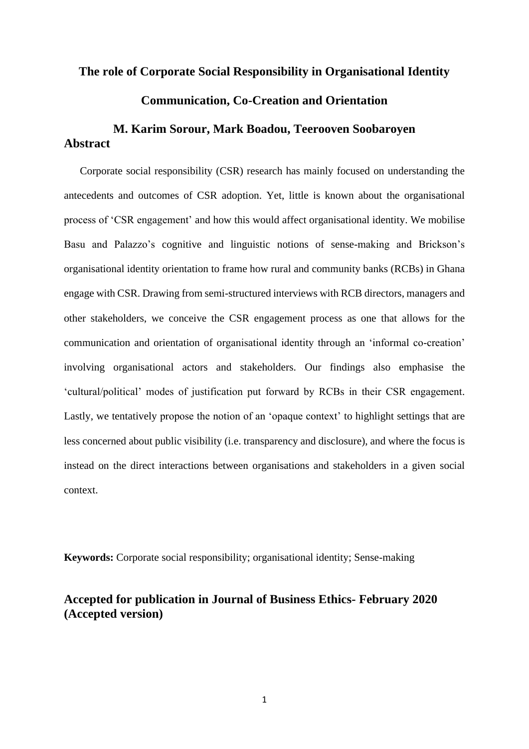### **The role of Corporate Social Responsibility in Organisational Identity**

## **Communication, Co-Creation and Orientation**

# **M. Karim Sorour, Mark Boadou, Teerooven Soobaroyen Abstract**

Corporate social responsibility (CSR) research has mainly focused on understanding the antecedents and outcomes of CSR adoption. Yet, little is known about the organisational process of 'CSR engagement' and how this would affect organisational identity. We mobilise Basu and Palazzo's cognitive and linguistic notions of sense-making and Brickson's organisational identity orientation to frame how rural and community banks (RCBs) in Ghana engage with CSR. Drawing from semi-structured interviews with RCB directors, managers and other stakeholders, we conceive the CSR engagement process as one that allows for the communication and orientation of organisational identity through an 'informal co-creation' involving organisational actors and stakeholders. Our findings also emphasise the 'cultural/political' modes of justification put forward by RCBs in their CSR engagement. Lastly, we tentatively propose the notion of an 'opaque context' to highlight settings that are less concerned about public visibility (i.e. transparency and disclosure), and where the focus is instead on the direct interactions between organisations and stakeholders in a given social context.

**Keywords:** Corporate social responsibility; organisational identity; Sense-making

# **Accepted for publication in Journal of Business Ethics- February 2020 (Accepted version)**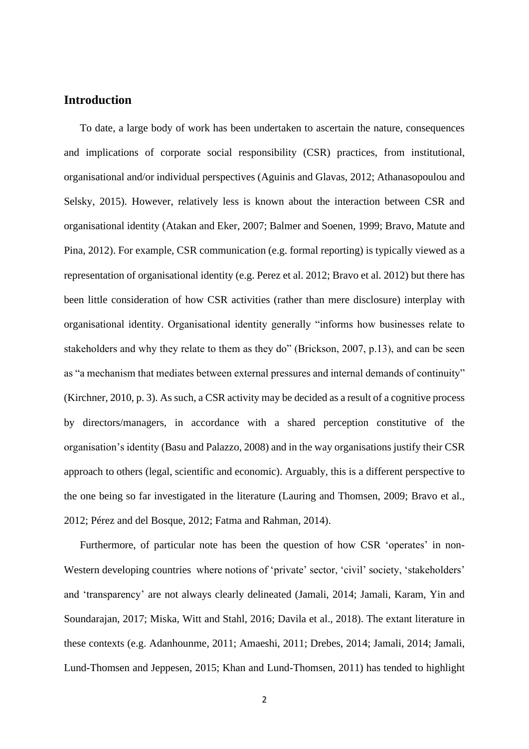# **Introduction**

To date, a large body of work has been undertaken to ascertain the nature, consequences and implications of corporate social responsibility (CSR) practices, from institutional, organisational and/or individual perspectives (Aguinis and Glavas, 2012; Athanasopoulou and Selsky, 2015). However, relatively less is known about the interaction between CSR and organisational identity (Atakan and Eker, 2007; Balmer and Soenen, 1999; Bravo, Matute and Pina, 2012). For example, CSR communication (e.g. formal reporting) is typically viewed as a representation of organisational identity (e.g. Perez et al. 2012; Bravo et al. 2012) but there has been little consideration of how CSR activities (rather than mere disclosure) interplay with organisational identity. Organisational identity generally "informs how businesses relate to stakeholders and why they relate to them as they do" (Brickson, 2007, p.13), and can be seen as "a mechanism that mediates between external pressures and internal demands of continuity" (Kirchner, 2010, p. 3). As such, a CSR activity may be decided as a result of a cognitive process by directors/managers, in accordance with a shared perception constitutive of the organisation's identity (Basu and Palazzo, 2008) and in the way organisations justify their CSR approach to others (legal, scientific and economic). Arguably, this is a different perspective to the one being so far investigated in the literature (Lauring and Thomsen, 2009; Bravo et al., 2012; Pérez and del Bosque, 2012; Fatma and Rahman, 2014).

Furthermore, of particular note has been the question of how CSR 'operates' in non-Western developing countries where notions of 'private' sector, 'civil' society, 'stakeholders' and 'transparency' are not always clearly delineated (Jamali, 2014; Jamali, Karam, Yin and Soundarajan, 2017; Miska, Witt and Stahl, 2016; Davila et al., 2018). The extant literature in these contexts (e.g. Adanhounme, 2011; Amaeshi, 2011; Drebes, 2014; Jamali, 2014; Jamali, Lund-Thomsen and Jeppesen, 2015; Khan and Lund-Thomsen, 2011) has tended to highlight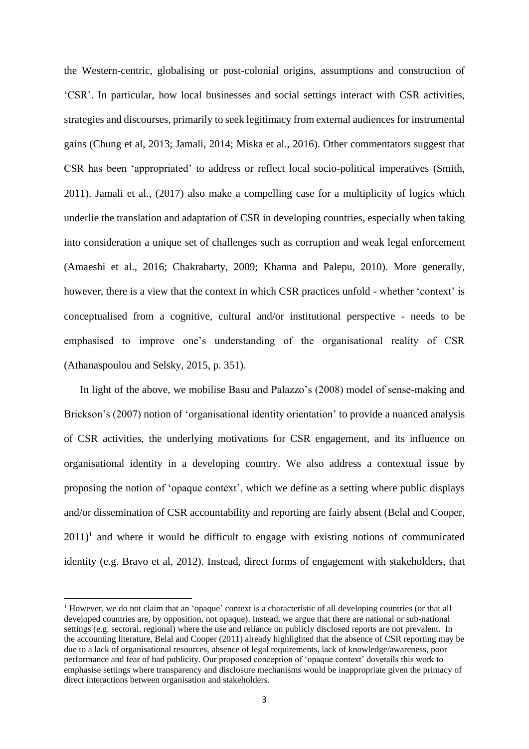the Western-centric, globalising or post-colonial origins, assumptions and construction of 'CSR'. In particular, how local businesses and social settings interact with CSR activities, strategies and discourses, primarily to seek legitimacy from external audiences for instrumental gains (Chung et al, 2013; Jamali, 2014; Miska et al., 2016). Other commentators suggest that CSR has been 'appropriated' to address or reflect local socio-political imperatives (Smith, 2011). Jamali et al., (2017) also make a compelling case for a multiplicity of logics which underlie the translation and adaptation of CSR in developing countries, especially when taking into consideration a unique set of challenges such as corruption and weak legal enforcement (Amaeshi et al., 2016; Chakrabarty, 2009; Khanna and Palepu, 2010). More generally, however, there is a view that the context in which CSR practices unfold - whether 'context' is conceptualised from a cognitive, cultural and/or institutional perspective - needs to be emphasised to improve one's understanding of the organisational reality of CSR (Athanaspoulou and Selsky, 2015, p. 351).

In light of the above, we mobilise Basu and Palazzo's (2008) model of sense-making and Brickson's (2007) notion of 'organisational identity orientation' to provide a nuanced analysis of CSR activities, the underlying motivations for CSR engagement, and its influence on organisational identity in a developing country. We also address a contextual issue by proposing the notion of 'opaque context', which we define as a setting where public displays and/or dissemination of CSR accountability and reporting are fairly absent (Belal and Cooper,  $2011$ <sup>1</sup> and where it would be difficult to engage with existing notions of communicated identity (e.g. Bravo et al, 2012). Instead, direct forms of engagement with stakeholders, that

 $1$  However, we do not claim that an 'opaque' context is a characteristic of all developing countries (or that all developed countries are, by opposition, not opaque). Instead, we argue that there are national or sub-national settings (e.g. sectoral, regional) where the use and reliance on publicly disclosed reports are not prevalent. In the accounting literature, Belal and Cooper (2011) already highlighted that the absence of CSR reporting may be due to a lack of organisational resources, absence of legal requirements, lack of knowledge/awareness, poor performance and fear of bad publicity. Our proposed conception of 'opaque context' dovetails this work to emphasise settings where transparency and disclosure mechanisms would be inappropriate given the primacy of direct interactions between organisation and stakeholders.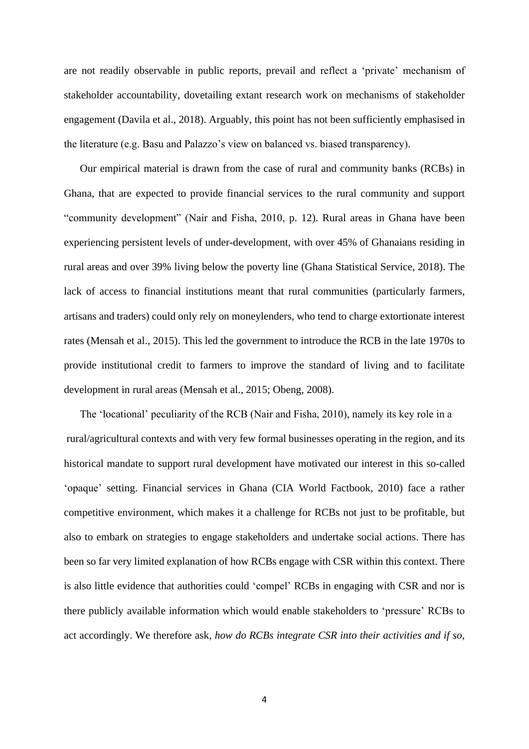are not readily observable in public reports, prevail and reflect a 'private' mechanism of stakeholder accountability, dovetailing extant research work on mechanisms of stakeholder engagement (Davila et al., 2018). Arguably, this point has not been sufficiently emphasised in the literature (e.g. Basu and Palazzo's view on balanced vs. biased transparency).

Our empirical material is drawn from the case of rural and community banks (RCBs) in Ghana, that are expected to provide financial services to the rural community and support "community development" (Nair and Fisha, 2010, p. 12). Rural areas in Ghana have been experiencing persistent levels of under-development, with over 45% of Ghanaians residing in rural areas and over 39% living below the poverty line (Ghana Statistical Service, 2018). The lack of access to financial institutions meant that rural communities (particularly farmers, artisans and traders) could only rely on moneylenders, who tend to charge extortionate interest rates (Mensah et al., 2015). This led the government to introduce the RCB in the late 1970s to provide institutional credit to farmers to improve the standard of living and to facilitate development in rural areas (Mensah et al., 2015; Obeng, 2008).

The 'locational' peculiarity of the RCB (Nair and Fisha, 2010), namely its key role in a rural/agricultural contexts and with very few formal businesses operating in the region, and its historical mandate to support rural development have motivated our interest in this so-called 'opaque' setting. Financial services in Ghana (CIA World Factbook, 2010) face a rather competitive environment, which makes it a challenge for RCBs not just to be profitable, but also to embark on strategies to engage stakeholders and undertake social actions. There has been so far very limited explanation of how RCBs engage with CSR within this context. There is also little evidence that authorities could 'compel' RCBs in engaging with CSR and nor is there publicly available information which would enable stakeholders to 'pressure' RCBs to act accordingly. We therefore ask, *how do RCBs integrate CSR into their activities and if so,*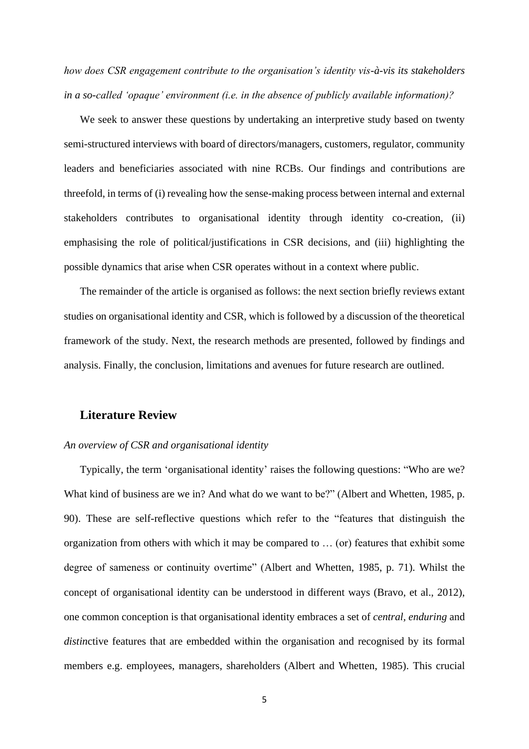*how does CSR engagement contribute to the organisation's identity vis-à-vis its stakeholders in a so-called 'opaque' environment (i.e. in the absence of publicly available information)?*

We seek to answer these questions by undertaking an interpretive study based on twenty semi-structured interviews with board of directors/managers, customers, regulator, community leaders and beneficiaries associated with nine RCBs. Our findings and contributions are threefold, in terms of (i) revealing how the sense-making process between internal and external stakeholders contributes to organisational identity through identity co-creation, (ii) emphasising the role of political/justifications in CSR decisions, and (iii) highlighting the possible dynamics that arise when CSR operates without in a context where public.

The remainder of the article is organised as follows: the next section briefly reviews extant studies on organisational identity and CSR, which is followed by a discussion of the theoretical framework of the study. Next, the research methods are presented, followed by findings and analysis. Finally, the conclusion, limitations and avenues for future research are outlined.

## **Literature Review**

### *An overview of CSR and organisational identity*

Typically, the term 'organisational identity' raises the following questions: "Who are we? What kind of business are we in? And what do we want to be?" (Albert and Whetten, 1985, p. 90). These are self-reflective questions which refer to the "features that distinguish the organization from others with which it may be compared to … (or) features that exhibit some degree of sameness or continuity overtime" (Albert and Whetten, 1985, p. 71). Whilst the concept of organisational identity can be understood in different ways (Bravo, et al., 2012), one common conception is that organisational identity embraces a set of *central, enduring* and *distin*ctive features that are embedded within the organisation and recognised by its formal members e.g. employees, managers, shareholders (Albert and Whetten, 1985). This crucial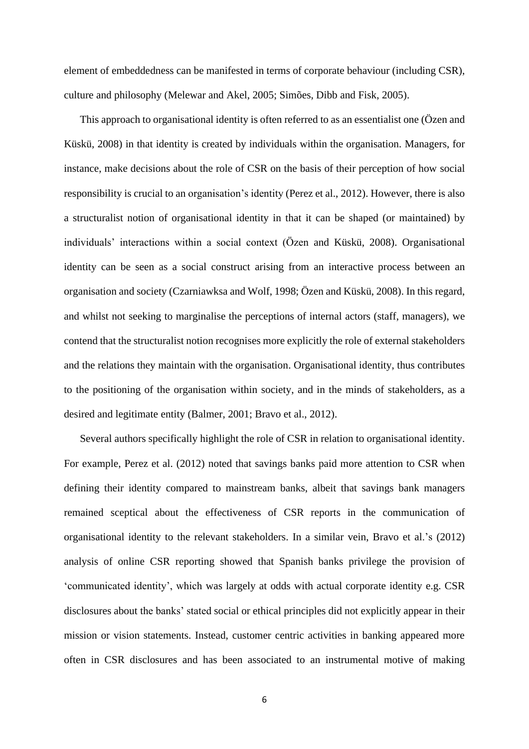element of embeddedness can be manifested in terms of corporate behaviour (including CSR), culture and philosophy (Melewar and Akel, 2005; Simões, Dibb and Fisk, 2005).

This approach to organisational identity is often referred to as an essentialist one (Özen and Küskü, 2008) in that identity is created by individuals within the organisation. Managers, for instance, make decisions about the role of CSR on the basis of their perception of how social responsibility is crucial to an organisation's identity (Perez et al., 2012). However, there is also a structuralist notion of organisational identity in that it can be shaped (or maintained) by individuals' interactions within a social context (Özen and Küskü, 2008). Organisational identity can be seen as a social construct arising from an interactive process between an organisation and society (Czarniawksa and Wolf, 1998; Özen and Küskü, 2008). In this regard, and whilst not seeking to marginalise the perceptions of internal actors (staff, managers), we contend that the structuralist notion recognises more explicitly the role of external stakeholders and the relations they maintain with the organisation. Organisational identity, thus contributes to the positioning of the organisation within society, and in the minds of stakeholders, as a desired and legitimate entity (Balmer, 2001; Bravo et al., 2012).

Several authors specifically highlight the role of CSR in relation to organisational identity. For example, Perez et al. (2012) noted that savings banks paid more attention to CSR when defining their identity compared to mainstream banks, albeit that savings bank managers remained sceptical about the effectiveness of CSR reports in the communication of organisational identity to the relevant stakeholders. In a similar vein, Bravo et al.'s (2012) analysis of online CSR reporting showed that Spanish banks privilege the provision of 'communicated identity', which was largely at odds with actual corporate identity e.g. CSR disclosures about the banks' stated social or ethical principles did not explicitly appear in their mission or vision statements. Instead, customer centric activities in banking appeared more often in CSR disclosures and has been associated to an instrumental motive of making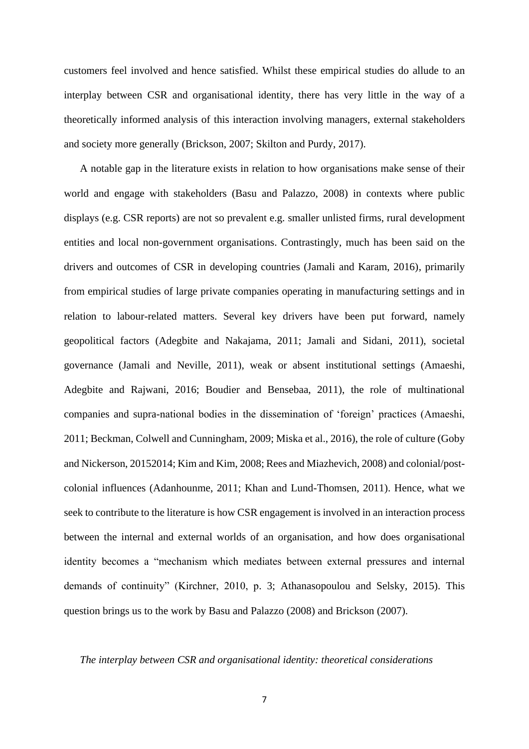customers feel involved and hence satisfied. Whilst these empirical studies do allude to an interplay between CSR and organisational identity, there has very little in the way of a theoretically informed analysis of this interaction involving managers, external stakeholders and society more generally (Brickson, 2007; Skilton and Purdy, 2017).

A notable gap in the literature exists in relation to how organisations make sense of their world and engage with stakeholders (Basu and Palazzo, 2008) in contexts where public displays (e.g. CSR reports) are not so prevalent e.g. smaller unlisted firms, rural development entities and local non-government organisations. Contrastingly, much has been said on the drivers and outcomes of CSR in developing countries (Jamali and Karam, 2016), primarily from empirical studies of large private companies operating in manufacturing settings and in relation to labour-related matters. Several key drivers have been put forward, namely geopolitical factors (Adegbite and Nakajama, 2011; Jamali and Sidani, 2011), societal governance (Jamali and Neville, 2011), weak or absent institutional settings (Amaeshi, Adegbite and Rajwani, 2016; Boudier and Bensebaa, 2011), the role of multinational companies and supra-national bodies in the dissemination of 'foreign' practices (Amaeshi, 2011; Beckman, Colwell and Cunningham, 2009; Miska et al., 2016), the role of culture (Goby and Nickerson, 20152014; Kim and Kim, 2008; Rees and Miazhevich, 2008) and colonial/postcolonial influences (Adanhounme, 2011; Khan and Lund-Thomsen, 2011). Hence, what we seek to contribute to the literature is how CSR engagement is involved in an interaction process between the internal and external worlds of an organisation, and how does organisational identity becomes a "mechanism which mediates between external pressures and internal demands of continuity" (Kirchner, 2010, p. 3; Athanasopoulou and Selsky, 2015). This question brings us to the work by Basu and Palazzo (2008) and Brickson (2007).

### *The interplay between CSR and organisational identity: theoretical considerations*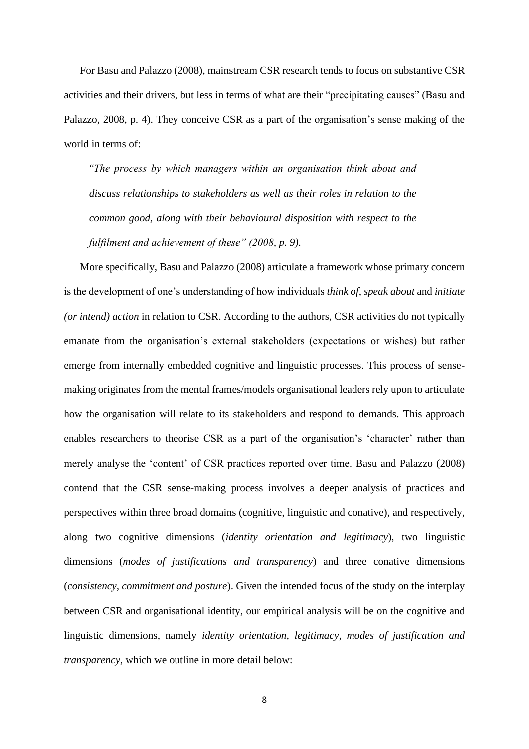For Basu and Palazzo (2008), mainstream CSR research tends to focus on substantive CSR activities and their drivers, but less in terms of what are their "precipitating causes" (Basu and Palazzo, 2008, p. 4). They conceive CSR as a part of the organisation's sense making of the world in terms of:

*"The process by which managers within an organisation think about and discuss relationships to stakeholders as well as their roles in relation to the common good, along with their behavioural disposition with respect to the fulfilment and achievement of these" (2008, p. 9).* 

More specifically, Basu and Palazzo (2008) articulate a framework whose primary concern is the development of one's understanding of how individuals *think of*, *speak about* and *initiate (or intend) action* in relation to CSR. According to the authors, CSR activities do not typically emanate from the organisation's external stakeholders (expectations or wishes) but rather emerge from internally embedded cognitive and linguistic processes. This process of sensemaking originates from the mental frames/models organisational leaders rely upon to articulate how the organisation will relate to its stakeholders and respond to demands. This approach enables researchers to theorise CSR as a part of the organisation's 'character' rather than merely analyse the 'content' of CSR practices reported over time. Basu and Palazzo (2008) contend that the CSR sense-making process involves a deeper analysis of practices and perspectives within three broad domains (cognitive, linguistic and conative), and respectively, along two cognitive dimensions (*identity orientation and legitimacy*), two linguistic dimensions (*modes of justifications and transparency*) and three conative dimensions (*consistency, commitment and posture*). Given the intended focus of the study on the interplay between CSR and organisational identity, our empirical analysis will be on the cognitive and linguistic dimensions, namely *identity orientation, legitimacy, modes of justification and transparency*, which we outline in more detail below: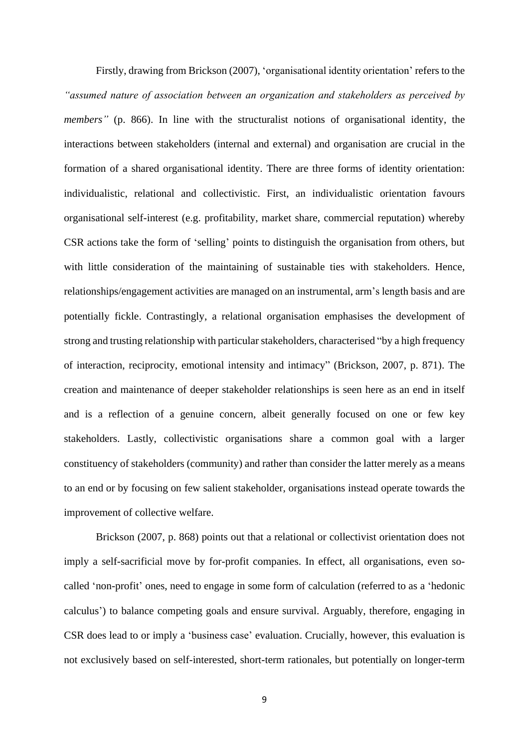Firstly, drawing from Brickson (2007), 'organisational identity orientation' refers to the *"assumed nature of association between an organization and stakeholders as perceived by members"* (p. 866). In line with the structuralist notions of organisational identity, the interactions between stakeholders (internal and external) and organisation are crucial in the formation of a shared organisational identity. There are three forms of identity orientation: individualistic, relational and collectivistic. First, an individualistic orientation favours organisational self-interest (e.g. profitability, market share, commercial reputation) whereby CSR actions take the form of 'selling' points to distinguish the organisation from others, but with little consideration of the maintaining of sustainable ties with stakeholders. Hence, relationships/engagement activities are managed on an instrumental, arm's length basis and are potentially fickle. Contrastingly, a relational organisation emphasises the development of strong and trusting relationship with particular stakeholders, characterised "by a high frequency of interaction, reciprocity, emotional intensity and intimacy" (Brickson, 2007, p. 871). The creation and maintenance of deeper stakeholder relationships is seen here as an end in itself and is a reflection of a genuine concern, albeit generally focused on one or few key stakeholders. Lastly, collectivistic organisations share a common goal with a larger constituency of stakeholders (community) and rather than consider the latter merely as a means to an end or by focusing on few salient stakeholder, organisations instead operate towards the improvement of collective welfare.

Brickson (2007, p. 868) points out that a relational or collectivist orientation does not imply a self-sacrificial move by for-profit companies. In effect, all organisations, even socalled 'non-profit' ones, need to engage in some form of calculation (referred to as a 'hedonic calculus') to balance competing goals and ensure survival. Arguably, therefore, engaging in CSR does lead to or imply a 'business case' evaluation. Crucially, however, this evaluation is not exclusively based on self-interested, short-term rationales, but potentially on longer-term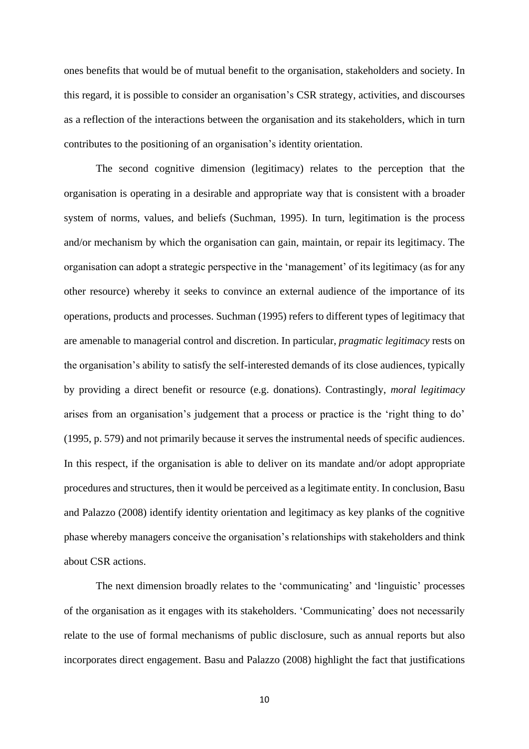ones benefits that would be of mutual benefit to the organisation, stakeholders and society. In this regard, it is possible to consider an organisation's CSR strategy, activities, and discourses as a reflection of the interactions between the organisation and its stakeholders, which in turn contributes to the positioning of an organisation's identity orientation.

The second cognitive dimension (legitimacy) relates to the perception that the organisation is operating in a desirable and appropriate way that is consistent with a broader system of norms, values, and beliefs (Suchman, 1995). In turn, legitimation is the process and/or mechanism by which the organisation can gain, maintain, or repair its legitimacy. The organisation can adopt a strategic perspective in the 'management' of its legitimacy (as for any other resource) whereby it seeks to convince an external audience of the importance of its operations, products and processes. Suchman (1995) refers to different types of legitimacy that are amenable to managerial control and discretion. In particular, *pragmatic legitimacy* rests on the organisation's ability to satisfy the self-interested demands of its close audiences, typically by providing a direct benefit or resource (e.g. donations). Contrastingly, *moral legitimacy* arises from an organisation's judgement that a process or practice is the 'right thing to do' (1995, p. 579) and not primarily because it serves the instrumental needs of specific audiences. In this respect, if the organisation is able to deliver on its mandate and/or adopt appropriate procedures and structures, then it would be perceived as a legitimate entity. In conclusion, Basu and Palazzo (2008) identify identity orientation and legitimacy as key planks of the cognitive phase whereby managers conceive the organisation's relationships with stakeholders and think about CSR actions.

The next dimension broadly relates to the 'communicating' and 'linguistic' processes of the organisation as it engages with its stakeholders. 'Communicating' does not necessarily relate to the use of formal mechanisms of public disclosure, such as annual reports but also incorporates direct engagement. Basu and Palazzo (2008) highlight the fact that justifications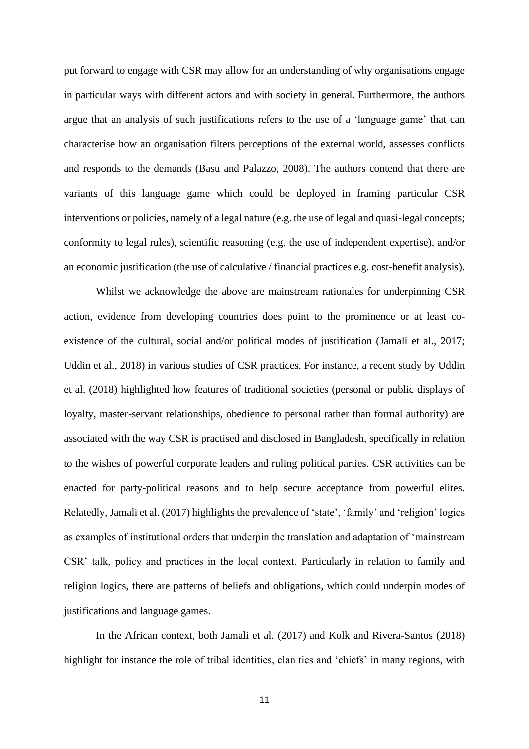put forward to engage with CSR may allow for an understanding of why organisations engage in particular ways with different actors and with society in general. Furthermore, the authors argue that an analysis of such justifications refers to the use of a 'language game' that can characterise how an organisation filters perceptions of the external world, assesses conflicts and responds to the demands (Basu and Palazzo, 2008). The authors contend that there are variants of this language game which could be deployed in framing particular CSR interventions or policies, namely of a legal nature (e.g. the use of legal and quasi-legal concepts; conformity to legal rules), scientific reasoning (e.g. the use of independent expertise), and/or an economic justification (the use of calculative / financial practices e.g. cost-benefit analysis).

Whilst we acknowledge the above are mainstream rationales for underpinning CSR action, evidence from developing countries does point to the prominence or at least coexistence of the cultural, social and/or political modes of justification (Jamali et al., 2017; Uddin et al., 2018) in various studies of CSR practices. For instance, a recent study by Uddin et al. (2018) highlighted how features of traditional societies (personal or public displays of loyalty, master-servant relationships, obedience to personal rather than formal authority) are associated with the way CSR is practised and disclosed in Bangladesh, specifically in relation to the wishes of powerful corporate leaders and ruling political parties. CSR activities can be enacted for party-political reasons and to help secure acceptance from powerful elites. Relatedly, Jamali et al. (2017) highlights the prevalence of 'state', 'family' and 'religion' logics as examples of institutional orders that underpin the translation and adaptation of 'mainstream CSR' talk, policy and practices in the local context. Particularly in relation to family and religion logics, there are patterns of beliefs and obligations, which could underpin modes of justifications and language games.

In the African context, both Jamali et al. (2017) and Kolk and Rivera-Santos (2018) highlight for instance the role of tribal identities, clan ties and 'chiefs' in many regions, with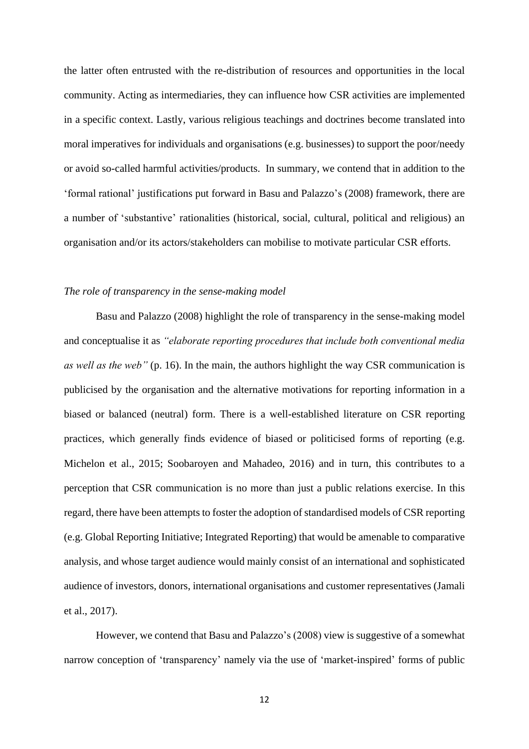the latter often entrusted with the re-distribution of resources and opportunities in the local community. Acting as intermediaries, they can influence how CSR activities are implemented in a specific context. Lastly, various religious teachings and doctrines become translated into moral imperatives for individuals and organisations (e.g. businesses) to support the poor/needy or avoid so-called harmful activities/products. In summary, we contend that in addition to the 'formal rational' justifications put forward in Basu and Palazzo's (2008) framework, there are a number of 'substantive' rationalities (historical, social, cultural, political and religious) an organisation and/or its actors/stakeholders can mobilise to motivate particular CSR efforts.

#### *The role of transparency in the sense-making model*

Basu and Palazzo (2008) highlight the role of transparency in the sense-making model and conceptualise it as *"elaborate reporting procedures that include both conventional media as well as the web"* (p. 16). In the main, the authors highlight the way CSR communication is publicised by the organisation and the alternative motivations for reporting information in a biased or balanced (neutral) form. There is a well-established literature on CSR reporting practices, which generally finds evidence of biased or politicised forms of reporting (e.g. Michelon et al., 2015; Soobaroyen and Mahadeo, 2016) and in turn, this contributes to a perception that CSR communication is no more than just a public relations exercise. In this regard, there have been attempts to foster the adoption of standardised models of CSR reporting (e.g. Global Reporting Initiative; Integrated Reporting) that would be amenable to comparative analysis, and whose target audience would mainly consist of an international and sophisticated audience of investors, donors, international organisations and customer representatives (Jamali et al., 2017).

However, we contend that Basu and Palazzo's (2008) view is suggestive of a somewhat narrow conception of 'transparency' namely via the use of 'market-inspired' forms of public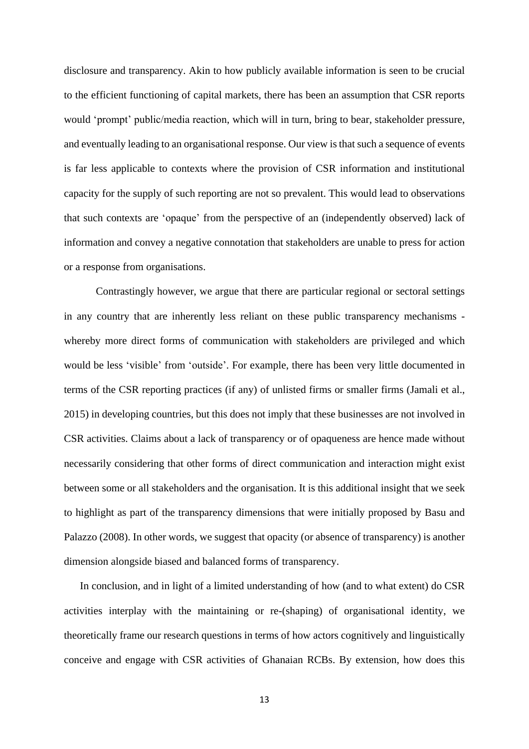disclosure and transparency. Akin to how publicly available information is seen to be crucial to the efficient functioning of capital markets, there has been an assumption that CSR reports would 'prompt' public/media reaction, which will in turn, bring to bear, stakeholder pressure, and eventually leading to an organisational response. Our view is that such a sequence of events is far less applicable to contexts where the provision of CSR information and institutional capacity for the supply of such reporting are not so prevalent. This would lead to observations that such contexts are 'opaque' from the perspective of an (independently observed) lack of information and convey a negative connotation that stakeholders are unable to press for action or a response from organisations.

Contrastingly however, we argue that there are particular regional or sectoral settings in any country that are inherently less reliant on these public transparency mechanisms whereby more direct forms of communication with stakeholders are privileged and which would be less 'visible' from 'outside'. For example, there has been very little documented in terms of the CSR reporting practices (if any) of unlisted firms or smaller firms (Jamali et al., 2015) in developing countries, but this does not imply that these businesses are not involved in CSR activities. Claims about a lack of transparency or of opaqueness are hence made without necessarily considering that other forms of direct communication and interaction might exist between some or all stakeholders and the organisation. It is this additional insight that we seek to highlight as part of the transparency dimensions that were initially proposed by Basu and Palazzo (2008). In other words, we suggest that opacity (or absence of transparency) is another dimension alongside biased and balanced forms of transparency.

In conclusion, and in light of a limited understanding of how (and to what extent) do CSR activities interplay with the maintaining or re-(shaping) of organisational identity, we theoretically frame our research questions in terms of how actors cognitively and linguistically conceive and engage with CSR activities of Ghanaian RCBs. By extension, how does this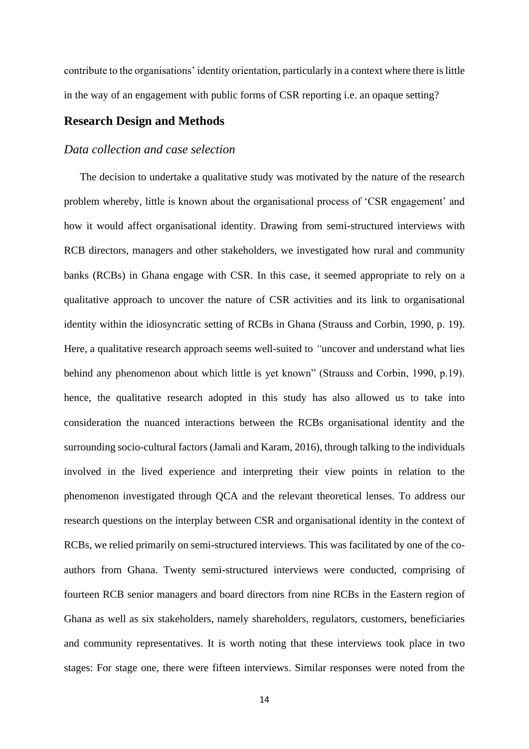contribute to the organisations' identity orientation, particularly in a context where there is little in the way of an engagement with public forms of CSR reporting i.e. an opaque setting?

# **Research Design and Methods**

### *Data collection and case selection*

The decision to undertake a qualitative study was motivated by the nature of the research problem whereby, little is known about the organisational process of 'CSR engagement' and how it would affect organisational identity. Drawing from semi-structured interviews with RCB directors, managers and other stakeholders, we investigated how rural and community banks (RCBs) in Ghana engage with CSR. In this case, it seemed appropriate to rely on a qualitative approach to uncover the nature of CSR activities and its link to organisational identity within the idiosyncratic setting of RCBs in Ghana (Strauss and Corbin, 1990, p. 19). Here, a qualitative research approach seems well-suited to *"*uncover and understand what lies behind any phenomenon about which little is yet known" (Strauss and Corbin, 1990, p.19). hence, the qualitative research adopted in this study has also allowed us to take into consideration the nuanced interactions between the RCBs organisational identity and the surrounding socio-cultural factors (Jamali and Karam, 2016), through talking to the individuals involved in the lived experience and interpreting their view points in relation to the phenomenon investigated through QCA and the relevant theoretical lenses. To address our research questions on the interplay between CSR and organisational identity in the context of RCBs, we relied primarily on semi-structured interviews. This was facilitated by one of the coauthors from Ghana. Twenty semi-structured interviews were conducted, comprising of fourteen RCB senior managers and board directors from nine RCBs in the Eastern region of Ghana as well as six stakeholders, namely shareholders, regulators, customers, beneficiaries and community representatives. It is worth noting that these interviews took place in two stages: For stage one, there were fifteen interviews. Similar responses were noted from the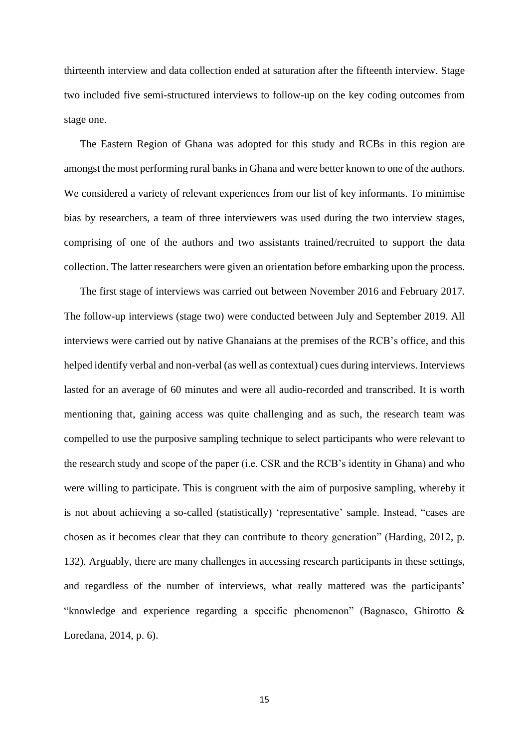thirteenth interview and data collection ended at saturation after the fifteenth interview. Stage two included five semi-structured interviews to follow-up on the key coding outcomes from stage one.

The Eastern Region of Ghana was adopted for this study and RCBs in this region are amongst the most performing rural banks in Ghana and were better known to one of the authors. We considered a variety of relevant experiences from our list of key informants. To minimise bias by researchers, a team of three interviewers was used during the two interview stages, comprising of one of the authors and two assistants trained/recruited to support the data collection. The latter researchers were given an orientation before embarking upon the process.

The first stage of interviews was carried out between November 2016 and February 2017. The follow-up interviews (stage two) were conducted between July and September 2019. All interviews were carried out by native Ghanaians at the premises of the RCB's office, and this helped identify verbal and non-verbal (as well as contextual) cues during interviews. Interviews lasted for an average of 60 minutes and were all audio-recorded and transcribed. It is worth mentioning that, gaining access was quite challenging and as such, the research team was compelled to use the purposive sampling technique to select participants who were relevant to the research study and scope of the paper (i.e. CSR and the RCB's identity in Ghana) and who were willing to participate. This is congruent with the aim of purposive sampling, whereby it is not about achieving a so-called (statistically) 'representative' sample. Instead, "cases are chosen as it becomes clear that they can contribute to theory generation" (Harding, 2012, p. 132). Arguably, there are many challenges in accessing research participants in these settings, and regardless of the number of interviews, what really mattered was the participants' "knowledge and experience regarding a specific phenomenon" (Bagnasco, Ghirotto & Loredana, 2014, p. 6).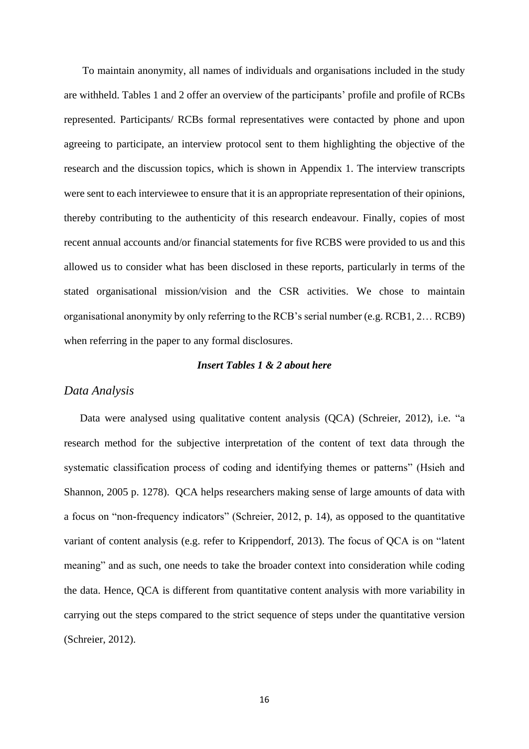To maintain anonymity, all names of individuals and organisations included in the study are withheld. Tables 1 and 2 offer an overview of the participants' profile and profile of RCBs represented. Participants/ RCBs formal representatives were contacted by phone and upon agreeing to participate, an interview protocol sent to them highlighting the objective of the research and the discussion topics, which is shown in Appendix 1. The interview transcripts were sent to each interviewee to ensure that it is an appropriate representation of their opinions, thereby contributing to the authenticity of this research endeavour. Finally, copies of most recent annual accounts and/or financial statements for five RCBS were provided to us and this allowed us to consider what has been disclosed in these reports, particularly in terms of the stated organisational mission/vision and the CSR activities. We chose to maintain organisational anonymity by only referring to the RCB's serial number (e.g. RCB1, 2… RCB9) when referring in the paper to any formal disclosures.

### *Insert Tables 1 & 2 about here*

### *Data Analysis*

Data were analysed using qualitative content analysis (QCA) (Schreier, 2012), i.e. "a research method for the subjective interpretation of the content of text data through the systematic classification process of coding and identifying themes or patterns" (Hsieh and Shannon, 2005 p. 1278). QCA helps researchers making sense of large amounts of data with a focus on "non-frequency indicators" (Schreier, 2012, p. 14), as opposed to the quantitative variant of content analysis (e.g. refer to Krippendorf, 2013). The focus of QCA is on "latent meaning" and as such, one needs to take the broader context into consideration while coding the data. Hence, QCA is different from quantitative content analysis with more variability in carrying out the steps compared to the strict sequence of steps under the quantitative version (Schreier, 2012).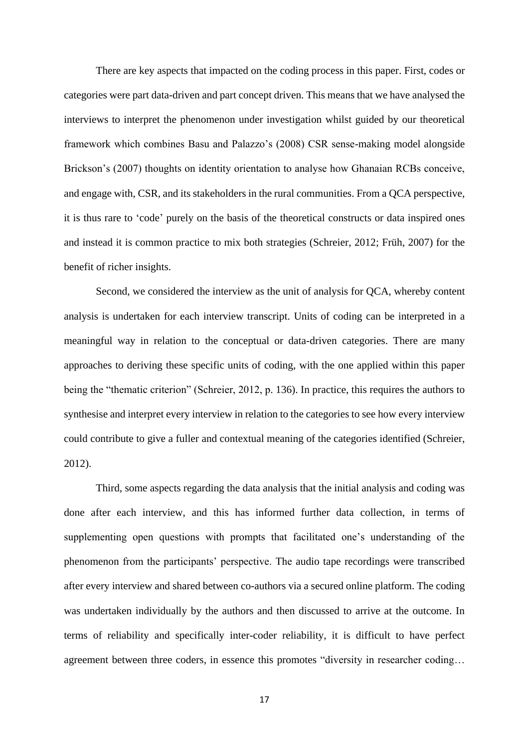There are key aspects that impacted on the coding process in this paper. First, codes or categories were part data-driven and part concept driven. This means that we have analysed the interviews to interpret the phenomenon under investigation whilst guided by our theoretical framework which combines Basu and Palazzo's (2008) CSR sense-making model alongside Brickson's (2007) thoughts on identity orientation to analyse how Ghanaian RCBs conceive, and engage with, CSR, and its stakeholders in the rural communities. From a QCA perspective, it is thus rare to 'code' purely on the basis of the theoretical constructs or data inspired ones and instead it is common practice to mix both strategies (Schreier, 2012; Früh, 2007) for the benefit of richer insights.

Second, we considered the interview as the unit of analysis for QCA, whereby content analysis is undertaken for each interview transcript. Units of coding can be interpreted in a meaningful way in relation to the conceptual or data-driven categories. There are many approaches to deriving these specific units of coding, with the one applied within this paper being the "thematic criterion" (Schreier, 2012, p. 136). In practice, this requires the authors to synthesise and interpret every interview in relation to the categories to see how every interview could contribute to give a fuller and contextual meaning of the categories identified (Schreier, 2012).

Third, some aspects regarding the data analysis that the initial analysis and coding was done after each interview, and this has informed further data collection, in terms of supplementing open questions with prompts that facilitated one's understanding of the phenomenon from the participants' perspective. The audio tape recordings were transcribed after every interview and shared between co-authors via a secured online platform. The coding was undertaken individually by the authors and then discussed to arrive at the outcome. In terms of reliability and specifically inter-coder reliability, it is difficult to have perfect agreement between three coders, in essence this promotes "diversity in researcher coding…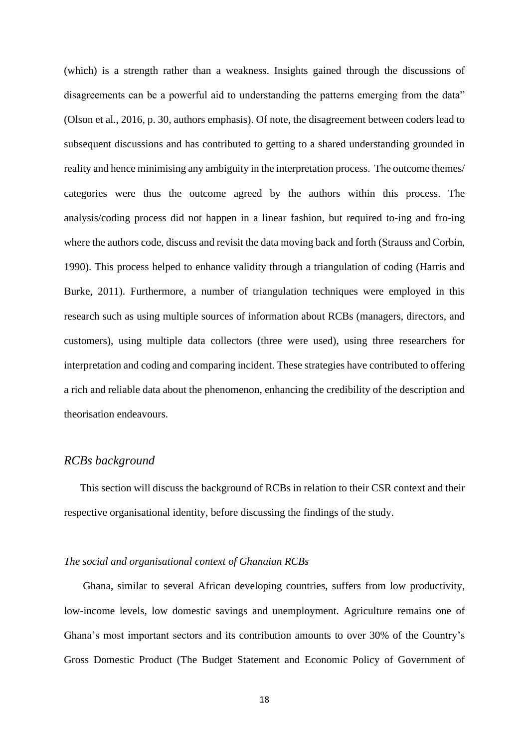(which) is a strength rather than a weakness. Insights gained through the discussions of disagreements can be a powerful aid to understanding the patterns emerging from the data" (Olson et al., 2016, p. 30, authors emphasis). Of note, the disagreement between coders lead to subsequent discussions and has contributed to getting to a shared understanding grounded in reality and hence minimising any ambiguity in the interpretation process. The outcome themes/ categories were thus the outcome agreed by the authors within this process. The analysis/coding process did not happen in a linear fashion, but required to-ing and fro-ing where the authors code, discuss and revisit the data moving back and forth (Strauss and Corbin, 1990). This process helped to enhance validity through a triangulation of coding (Harris and Burke, 2011). Furthermore, a number of triangulation techniques were employed in this research such as using multiple sources of information about RCBs (managers, directors, and customers), using multiple data collectors (three were used), using three researchers for interpretation and coding and comparing incident. These strategies have contributed to offering a rich and reliable data about the phenomenon, enhancing the credibility of the description and theorisation endeavours.

## *RCBs background*

This section will discuss the background of RCBs in relation to their CSR context and their respective organisational identity, before discussing the findings of the study.

#### *The social and organisational context of Ghanaian RCBs*

Ghana, similar to several African developing countries, suffers from low productivity, low-income levels, low domestic savings and unemployment. Agriculture remains one of Ghana's most important sectors and its contribution amounts to over 30% of the Country's Gross Domestic Product (The Budget Statement and Economic Policy of Government of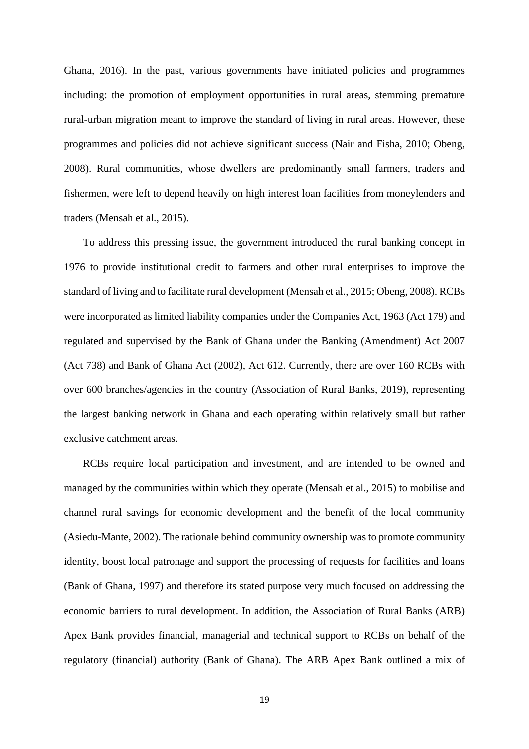Ghana, 2016). In the past, various governments have initiated policies and programmes including: the promotion of employment opportunities in rural areas, stemming premature rural-urban migration meant to improve the standard of living in rural areas. However, these programmes and policies did not achieve significant success (Nair and Fisha, 2010; Obeng, 2008). Rural communities, whose dwellers are predominantly small farmers, traders and fishermen, were left to depend heavily on high interest loan facilities from moneylenders and traders (Mensah et al., 2015).

To address this pressing issue, the government introduced the rural banking concept in 1976 to provide institutional credit to farmers and other rural enterprises to improve the standard of living and to facilitate rural development (Mensah et al., 2015; Obeng, 2008). RCBs were incorporated as limited liability companies under the Companies Act, 1963 (Act 179) and regulated and supervised by the Bank of Ghana under the Banking (Amendment) Act 2007 (Act 738) and Bank of Ghana Act (2002), Act 612. Currently, there are over 160 RCBs with over 600 branches/agencies in the country (Association of Rural Banks, 2019), representing the largest banking network in Ghana and each operating within relatively small but rather exclusive catchment areas.

RCBs require local participation and investment, and are intended to be owned and managed by the communities within which they operate (Mensah et al., 2015) to mobilise and channel rural savings for economic development and the benefit of the local community (Asiedu-Mante, 2002). The rationale behind community ownership was to promote community identity, boost local patronage and support the processing of requests for facilities and loans (Bank of Ghana, 1997) and therefore its stated purpose very much focused on addressing the economic barriers to rural development. In addition, the Association of Rural Banks (ARB) Apex Bank provides financial, managerial and technical support to RCBs on behalf of the regulatory (financial) authority (Bank of Ghana). The ARB Apex Bank outlined a mix of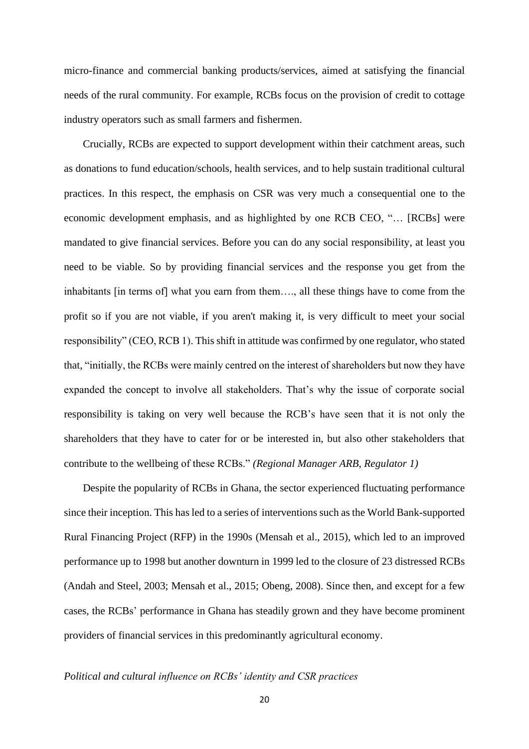micro-finance and commercial banking products/services, aimed at satisfying the financial needs of the rural community. For example, RCBs focus on the provision of credit to cottage industry operators such as small farmers and fishermen.

Crucially, RCBs are expected to support development within their catchment areas, such as donations to fund education/schools, health services, and to help sustain traditional cultural practices. In this respect, the emphasis on CSR was very much a consequential one to the economic development emphasis, and as highlighted by one RCB CEO, "… [RCBs] were mandated to give financial services. Before you can do any social responsibility, at least you need to be viable. So by providing financial services and the response you get from the inhabitants [in terms of] what you earn from them…., all these things have to come from the profit so if you are not viable, if you aren't making it, is very difficult to meet your social responsibility" (CEO, RCB 1). This shift in attitude was confirmed by one regulator, who stated that, "initially, the RCBs were mainly centred on the interest of shareholders but now they have expanded the concept to involve all stakeholders. That's why the issue of corporate social responsibility is taking on very well because the RCB's have seen that it is not only the shareholders that they have to cater for or be interested in, but also other stakeholders that contribute to the wellbeing of these RCBs." *(Regional Manager ARB, Regulator 1)*

Despite the popularity of RCBs in Ghana, the sector experienced fluctuating performance since their inception. This has led to a series of interventions such as the World Bank-supported Rural Financing Project (RFP) in the 1990s (Mensah et al., 2015), which led to an improved performance up to 1998 but another downturn in 1999 led to the closure of 23 distressed RCBs (Andah and Steel, 2003; Mensah et al., 2015; Obeng, 2008). Since then, and except for a few cases, the RCBs' performance in Ghana has steadily grown and they have become prominent providers of financial services in this predominantly agricultural economy.

### *Political and cultural influence on RCBs' identity and CSR practices*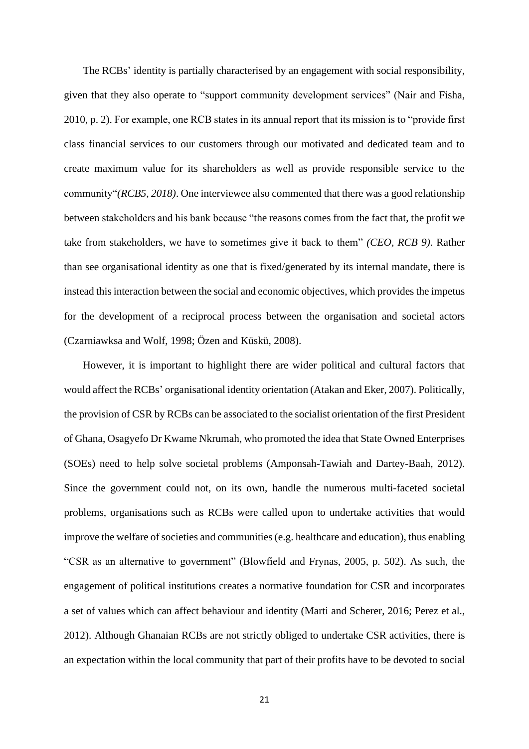The RCBs' identity is partially characterised by an engagement with social responsibility, given that they also operate to "support community development services" (Nair and Fisha, 2010, p. 2). For example, one RCB states in its annual report that its mission is to "provide first class financial services to our customers through our motivated and dedicated team and to create maximum value for its shareholders as well as provide responsible service to the community"*(RCB5, 2018)*. One interviewee also commented that there was a good relationship between stakeholders and his bank because "the reasons comes from the fact that, the profit we take from stakeholders, we have to sometimes give it back to them" *(CEO, RCB 9)*. Rather than see organisational identity as one that is fixed/generated by its internal mandate, there is instead this interaction between the social and economic objectives, which provides the impetus for the development of a reciprocal process between the organisation and societal actors (Czarniawksa and Wolf, 1998; Özen and Küskü, 2008).

However, it is important to highlight there are wider political and cultural factors that would affect the RCBs' organisational identity orientation (Atakan and Eker, 2007). Politically, the provision of CSR by RCBs can be associated to the socialist orientation of the first President of Ghana, Osagyefo Dr Kwame Nkrumah, who promoted the idea that State Owned Enterprises (SOEs) need to help solve societal problems (Amponsah-Tawiah and Dartey-Baah, 2012). Since the government could not, on its own, handle the numerous multi-faceted societal problems, organisations such as RCBs were called upon to undertake activities that would improve the welfare of societies and communities(e.g. healthcare and education), thus enabling "CSR as an alternative to government" (Blowfield and Frynas, 2005, p. 502). As such, the engagement of political institutions creates a normative foundation for CSR and incorporates a set of values which can affect behaviour and identity (Marti and Scherer, 2016; Perez et al., 2012). Although Ghanaian RCBs are not strictly obliged to undertake CSR activities, there is an expectation within the local community that part of their profits have to be devoted to social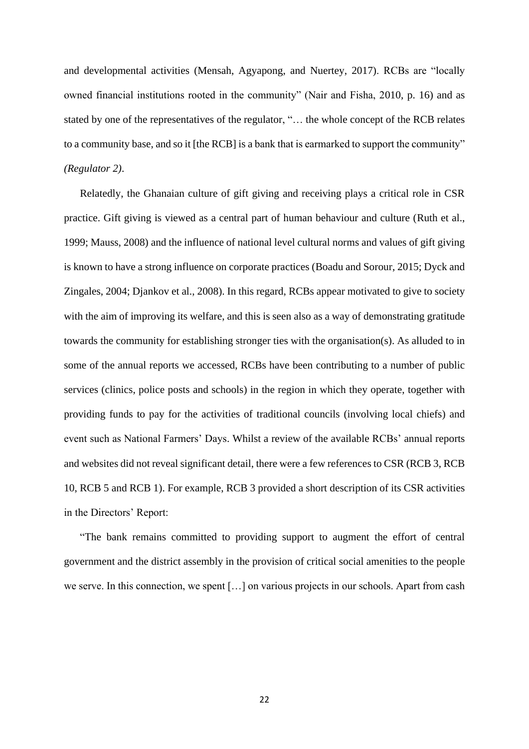and developmental activities (Mensah, Agyapong, and Nuertey, 2017). RCBs are "locally owned financial institutions rooted in the community" (Nair and Fisha, 2010, p. 16) and as stated by one of the representatives of the regulator, "… the whole concept of the RCB relates to a community base, and so it [the RCB] is a bank that is earmarked to support the community" *(Regulator 2)*.

Relatedly, the Ghanaian culture of gift giving and receiving plays a critical role in CSR practice. Gift giving is viewed as a central part of human behaviour and culture (Ruth et al., 1999; Mauss, 2008) and the influence of national level cultural norms and values of gift giving is known to have a strong influence on corporate practices (Boadu and Sorour, 2015; Dyck and Zingales, 2004; Djankov et al., 2008). In this regard, RCBs appear motivated to give to society with the aim of improving its welfare, and this is seen also as a way of demonstrating gratitude towards the community for establishing stronger ties with the organisation(s). As alluded to in some of the annual reports we accessed, RCBs have been contributing to a number of public services (clinics, police posts and schools) in the region in which they operate, together with providing funds to pay for the activities of traditional councils (involving local chiefs) and event such as National Farmers' Days. Whilst a review of the available RCBs' annual reports and websites did not reveal significant detail, there were a few references to CSR (RCB 3, RCB 10, RCB 5 and RCB 1). For example, RCB 3 provided a short description of its CSR activities in the Directors' Report:

"The bank remains committed to providing support to augment the effort of central government and the district assembly in the provision of critical social amenities to the people we serve. In this connection, we spent […] on various projects in our schools. Apart from cash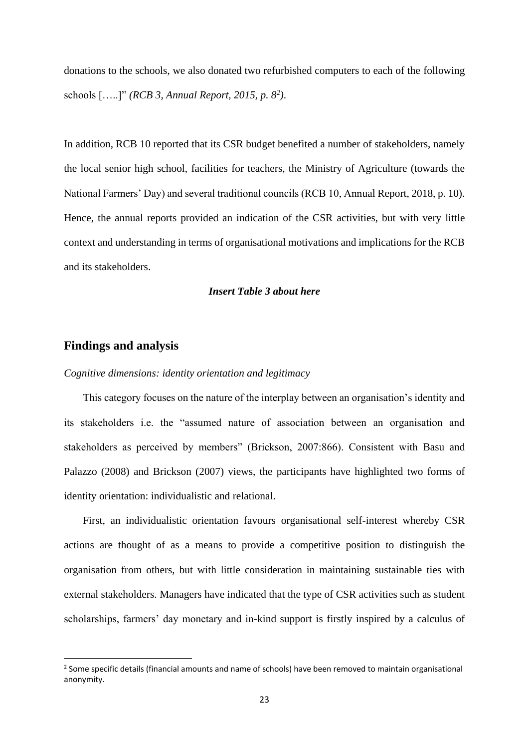donations to the schools, we also donated two refurbished computers to each of the following schools […..]" *(RCB 3, Annual Report, 2015, p. 8<sup>2</sup> )*.

In addition, RCB 10 reported that its CSR budget benefited a number of stakeholders, namely the local senior high school, facilities for teachers, the Ministry of Agriculture (towards the National Farmers' Day) and several traditional councils (RCB 10, Annual Report, 2018, p. 10). Hence, the annual reports provided an indication of the CSR activities, but with very little context and understanding in terms of organisational motivations and implications for the RCB and its stakeholders.

### *Insert Table 3 about here*

# **Findings and analysis**

*Cognitive dimensions: identity orientation and legitimacy*

This category focuses on the nature of the interplay between an organisation's identity and its stakeholders i.e. the "assumed nature of association between an organisation and stakeholders as perceived by members" (Brickson, 2007:866). Consistent with Basu and Palazzo (2008) and Brickson (2007) views, the participants have highlighted two forms of identity orientation: individualistic and relational.

First, an individualistic orientation favours organisational self-interest whereby CSR actions are thought of as a means to provide a competitive position to distinguish the organisation from others, but with little consideration in maintaining sustainable ties with external stakeholders. Managers have indicated that the type of CSR activities such as student scholarships, farmers' day monetary and in-kind support is firstly inspired by a calculus of

<sup>&</sup>lt;sup>2</sup> Some specific details (financial amounts and name of schools) have been removed to maintain organisational anonymity.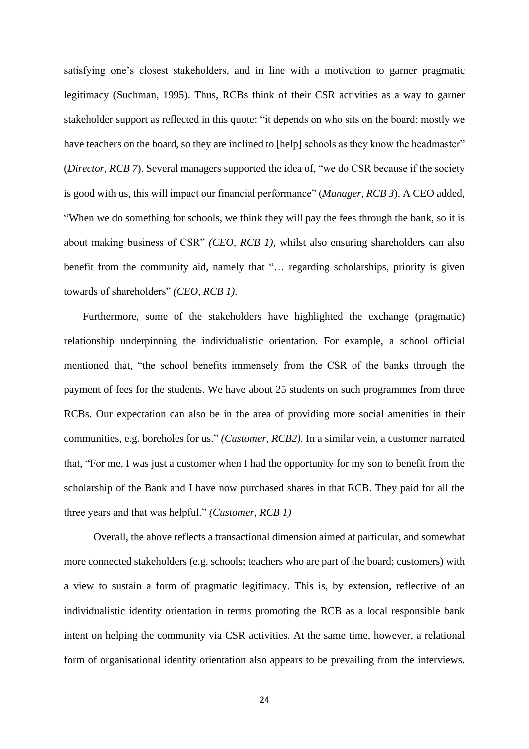satisfying one's closest stakeholders, and in line with a motivation to garner pragmatic legitimacy (Suchman, 1995). Thus, RCBs think of their CSR activities as a way to garner stakeholder support as reflected in this quote: "it depends on who sits on the board; mostly we have teachers on the board, so they are inclined to [help] schools as they know the headmaster" (*Director, RCB 7*). Several managers supported the idea of, "we do CSR because if the society is good with us, this will impact our financial performance" (*Manager, RCB 3*). A CEO added, "When we do something for schools, we think they will pay the fees through the bank, so it is about making business of CSR" *(CEO, RCB 1)*, whilst also ensuring shareholders can also benefit from the community aid, namely that "… regarding scholarships, priority is given towards of shareholders" *(CEO, RCB 1).*

Furthermore, some of the stakeholders have highlighted the exchange (pragmatic) relationship underpinning the individualistic orientation. For example, a school official mentioned that, "the school benefits immensely from the CSR of the banks through the payment of fees for the students. We have about 25 students on such programmes from three RCBs. Our expectation can also be in the area of providing more social amenities in their communities, e.g. boreholes for us." *(Customer, RCB2).* In a similar vein, a customer narrated that, "For me, I was just a customer when I had the opportunity for my son to benefit from the scholarship of the Bank and I have now purchased shares in that RCB. They paid for all the three years and that was helpful." *(Customer, RCB 1)*

 Overall, the above reflects a transactional dimension aimed at particular, and somewhat more connected stakeholders (e.g. schools; teachers who are part of the board; customers) with a view to sustain a form of pragmatic legitimacy. This is, by extension, reflective of an individualistic identity orientation in terms promoting the RCB as a local responsible bank intent on helping the community via CSR activities. At the same time, however, a relational form of organisational identity orientation also appears to be prevailing from the interviews.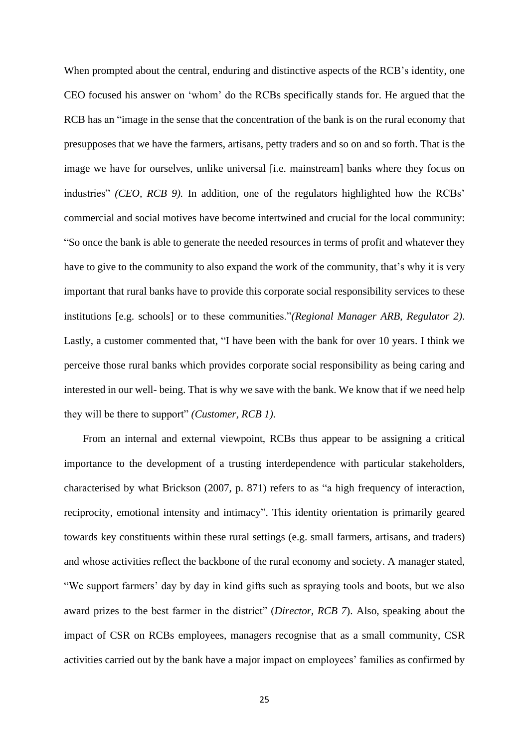When prompted about the central, enduring and distinctive aspects of the RCB's identity, one CEO focused his answer on 'whom' do the RCBs specifically stands for. He argued that the RCB has an "image in the sense that the concentration of the bank is on the rural economy that presupposes that we have the farmers, artisans, petty traders and so on and so forth. That is the image we have for ourselves, unlike universal [i.e. mainstream] banks where they focus on industries" *(CEO, RCB 9).* In addition, one of the regulators highlighted how the RCBs' commercial and social motives have become intertwined and crucial for the local community: "So once the bank is able to generate the needed resources in terms of profit and whatever they have to give to the community to also expand the work of the community, that's why it is very important that rural banks have to provide this corporate social responsibility services to these institutions [e.g. schools] or to these communities."*(Regional Manager ARB, Regulator 2)*. Lastly, a customer commented that, "I have been with the bank for over 10 years. I think we perceive those rural banks which provides corporate social responsibility as being caring and interested in our well- being. That is why we save with the bank. We know that if we need help they will be there to support" *(Customer, RCB 1).* 

From an internal and external viewpoint, RCBs thus appear to be assigning a critical importance to the development of a trusting interdependence with particular stakeholders, characterised by what Brickson (2007, p. 871) refers to as "a high frequency of interaction, reciprocity, emotional intensity and intimacy". This identity orientation is primarily geared towards key constituents within these rural settings (e.g. small farmers, artisans, and traders) and whose activities reflect the backbone of the rural economy and society. A manager stated, "We support farmers' day by day in kind gifts such as spraying tools and boots, but we also award prizes to the best farmer in the district" (*Director, RCB 7*). Also, speaking about the impact of CSR on RCBs employees, managers recognise that as a small community, CSR activities carried out by the bank have a major impact on employees' families as confirmed by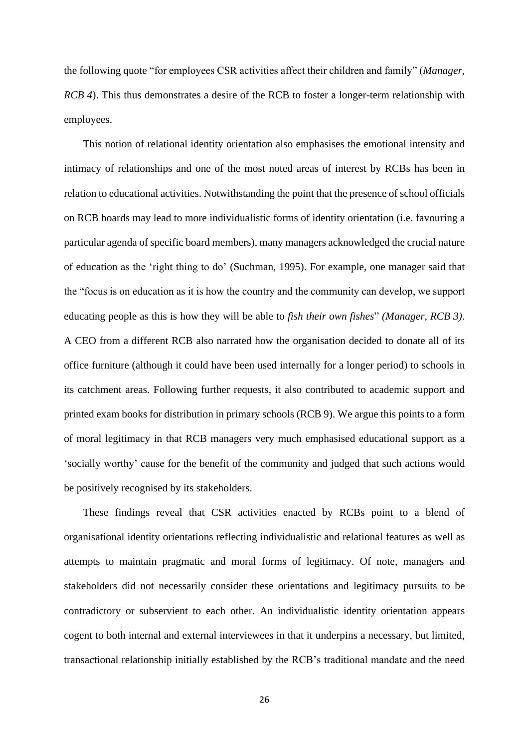the following quote "for employees CSR activities affect their children and family" (*Manager, RCB 4*). This thus demonstrates a desire of the RCB to foster a longer-term relationship with employees.

This notion of relational identity orientation also emphasises the emotional intensity and intimacy of relationships and one of the most noted areas of interest by RCBs has been in relation to educational activities. Notwithstanding the point that the presence of school officials on RCB boards may lead to more individualistic forms of identity orientation (i.e. favouring a particular agenda of specific board members), many managers acknowledged the crucial nature of education as the 'right thing to do' (Suchman, 1995). For example, one manager said that the "focus is on education as it is how the country and the community can develop, we support educating people as this is how they will be able to *fish their own fishes*" *(Manager, RCB 3)*. A CEO from a different RCB also narrated how the organisation decided to donate all of its office furniture (although it could have been used internally for a longer period) to schools in its catchment areas. Following further requests, it also contributed to academic support and printed exam books for distribution in primary schools (RCB 9). We argue this points to a form of moral legitimacy in that RCB managers very much emphasised educational support as a 'socially worthy' cause for the benefit of the community and judged that such actions would be positively recognised by its stakeholders.

These findings reveal that CSR activities enacted by RCBs point to a blend of organisational identity orientations reflecting individualistic and relational features as well as attempts to maintain pragmatic and moral forms of legitimacy. Of note, managers and stakeholders did not necessarily consider these orientations and legitimacy pursuits to be contradictory or subservient to each other. An individualistic identity orientation appears cogent to both internal and external interviewees in that it underpins a necessary, but limited, transactional relationship initially established by the RCB's traditional mandate and the need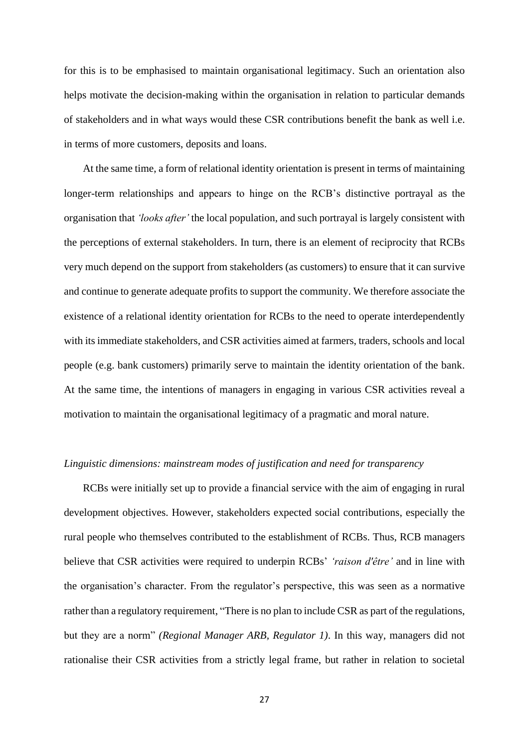for this is to be emphasised to maintain organisational legitimacy. Such an orientation also helps motivate the decision-making within the organisation in relation to particular demands of stakeholders and in what ways would these CSR contributions benefit the bank as well i.e. in terms of more customers, deposits and loans.

At the same time, a form of relational identity orientation is present in terms of maintaining longer-term relationships and appears to hinge on the RCB's distinctive portrayal as the organisation that *'looks after'* the local population, and such portrayal is largely consistent with the perceptions of external stakeholders. In turn, there is an element of reciprocity that RCBs very much depend on the support from stakeholders (as customers) to ensure that it can survive and continue to generate adequate profits to support the community. We therefore associate the existence of a relational identity orientation for RCBs to the need to operate interdependently with its immediate stakeholders, and CSR activities aimed at farmers, traders, schools and local people (e.g. bank customers) primarily serve to maintain the identity orientation of the bank. At the same time, the intentions of managers in engaging in various CSR activities reveal a motivation to maintain the organisational legitimacy of a pragmatic and moral nature.

### *Linguistic dimensions: mainstream modes of justification and need for transparency*

RCBs were initially set up to provide a financial service with the aim of engaging in rural development objectives. However, stakeholders expected social contributions, especially the rural people who themselves contributed to the establishment of RCBs. Thus, RCB managers believe that CSR activities were required to underpin RCBs' *'raison d'être'* and in line with the organisation's character. From the regulator's perspective, this was seen as a normative rather than a regulatory requirement, "There is no plan to include CSR as part of the regulations, but they are a norm" *(Regional Manager ARB, Regulator 1)*. In this way, managers did not rationalise their CSR activities from a strictly legal frame, but rather in relation to societal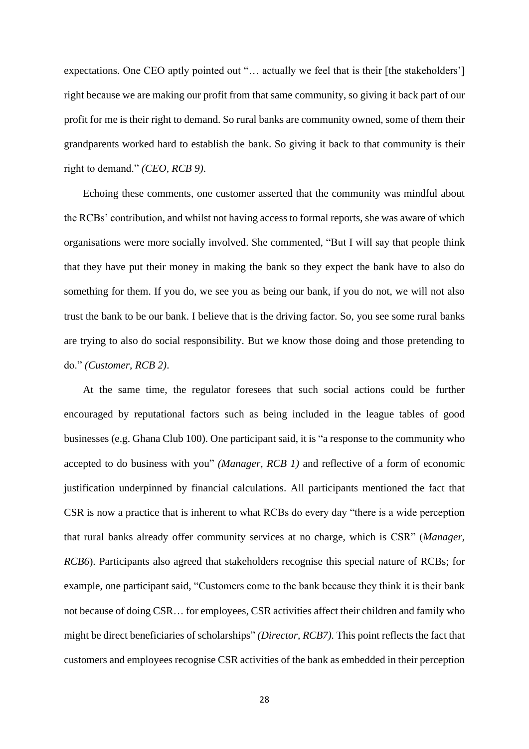expectations. One CEO aptly pointed out "... actually we feel that is their [the stakeholders'] right because we are making our profit from that same community, so giving it back part of our profit for me is their right to demand. So rural banks are community owned, some of them their grandparents worked hard to establish the bank. So giving it back to that community is their right to demand." *(CEO, RCB 9)*.

Echoing these comments, one customer asserted that the community was mindful about the RCBs' contribution, and whilst not having access to formal reports, she was aware of which organisations were more socially involved. She commented, "But I will say that people think that they have put their money in making the bank so they expect the bank have to also do something for them. If you do, we see you as being our bank, if you do not, we will not also trust the bank to be our bank. I believe that is the driving factor. So, you see some rural banks are trying to also do social responsibility. But we know those doing and those pretending to do." *(Customer, RCB 2)*.

At the same time, the regulator foresees that such social actions could be further encouraged by reputational factors such as being included in the league tables of good businesses (e.g. Ghana Club 100). One participant said, it is "a response to the community who accepted to do business with you" *(Manager, RCB 1)* and reflective of a form of economic justification underpinned by financial calculations. All participants mentioned the fact that CSR is now a practice that is inherent to what RCBs do every day "there is a wide perception that rural banks already offer community services at no charge, which is CSR" (*Manager, RCB6*). Participants also agreed that stakeholders recognise this special nature of RCBs; for example, one participant said, "Customers come to the bank because they think it is their bank not because of doing CSR… for employees, CSR activities affect their children and family who might be direct beneficiaries of scholarships" *(Director, RCB7).* This point reflects the fact that customers and employees recognise CSR activities of the bank as embedded in their perception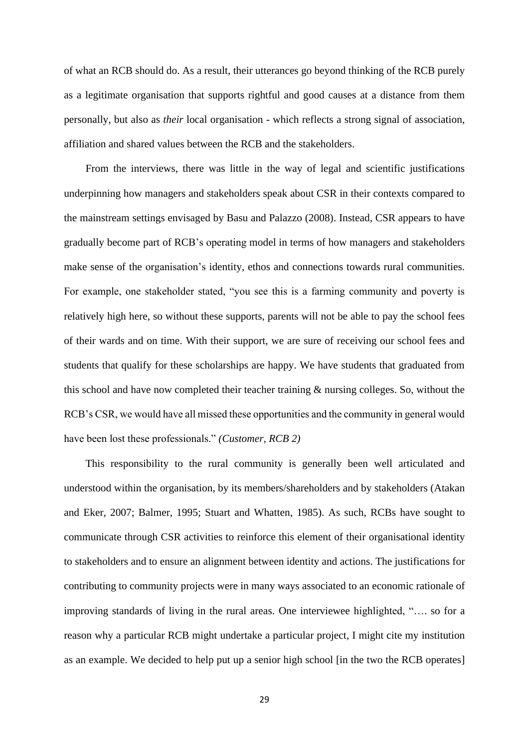of what an RCB should do. As a result, their utterances go beyond thinking of the RCB purely as a legitimate organisation that supports rightful and good causes at a distance from them personally, but also as *their* local organisation - which reflects a strong signal of association, affiliation and shared values between the RCB and the stakeholders.

From the interviews, there was little in the way of legal and scientific justifications underpinning how managers and stakeholders speak about CSR in their contexts compared to the mainstream settings envisaged by Basu and Palazzo (2008). Instead, CSR appears to have gradually become part of RCB's operating model in terms of how managers and stakeholders make sense of the organisation's identity, ethos and connections towards rural communities. For example, one stakeholder stated, "you see this is a farming community and poverty is relatively high here, so without these supports, parents will not be able to pay the school fees of their wards and on time. With their support, we are sure of receiving our school fees and students that qualify for these scholarships are happy. We have students that graduated from this school and have now completed their teacher training & nursing colleges. So, without the RCB's CSR, we would have all missed these opportunities and the community in general would have been lost these professionals." *(Customer, RCB 2)*

This responsibility to the rural community is generally been well articulated and understood within the organisation, by its members/shareholders and by stakeholders (Atakan and Eker, 2007; Balmer, 1995; Stuart and Whatten, 1985). As such, RCBs have sought to communicate through CSR activities to reinforce this element of their organisational identity to stakeholders and to ensure an alignment between identity and actions. The justifications for contributing to community projects were in many ways associated to an economic rationale of improving standards of living in the rural areas. One interviewee highlighted, "…. so for a reason why a particular RCB might undertake a particular project, I might cite my institution as an example. We decided to help put up a senior high school [in the two the RCB operates]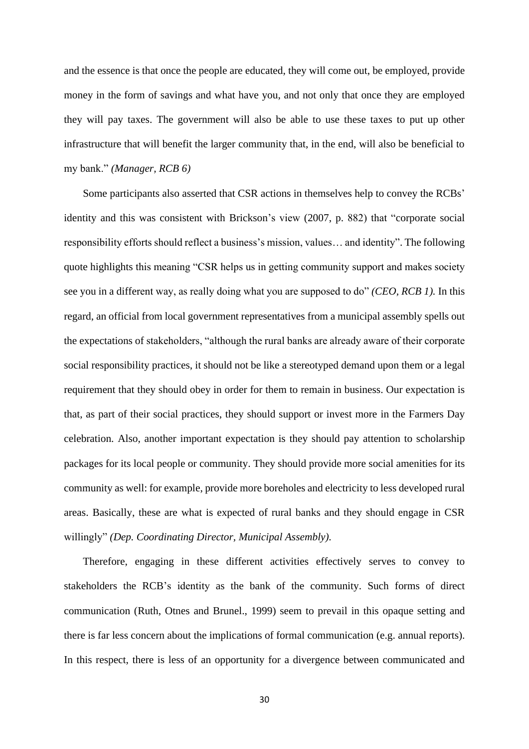and the essence is that once the people are educated, they will come out, be employed, provide money in the form of savings and what have you, and not only that once they are employed they will pay taxes. The government will also be able to use these taxes to put up other infrastructure that will benefit the larger community that, in the end, will also be beneficial to my bank." *(Manager, RCB 6)* 

Some participants also asserted that CSR actions in themselves help to convey the RCBs' identity and this was consistent with Brickson's view (2007, p. 882) that "corporate social responsibility efforts should reflect a business's mission, values… and identity". The following quote highlights this meaning "CSR helps us in getting community support and makes society see you in a different way, as really doing what you are supposed to do" *(CEO, RCB 1).* In this regard, an official from local government representatives from a municipal assembly spells out the expectations of stakeholders, "although the rural banks are already aware of their corporate social responsibility practices, it should not be like a stereotyped demand upon them or a legal requirement that they should obey in order for them to remain in business. Our expectation is that, as part of their social practices, they should support or invest more in the Farmers Day celebration. Also, another important expectation is they should pay attention to scholarship packages for its local people or community. They should provide more social amenities for its community as well: for example, provide more boreholes and electricity to less developed rural areas. Basically, these are what is expected of rural banks and they should engage in CSR willingly" *(Dep. Coordinating Director, Municipal Assembly).* 

Therefore, engaging in these different activities effectively serves to convey to stakeholders the RCB's identity as the bank of the community. Such forms of direct communication (Ruth, Otnes and Brunel., 1999) seem to prevail in this opaque setting and there is far less concern about the implications of formal communication (e.g. annual reports). In this respect, there is less of an opportunity for a divergence between communicated and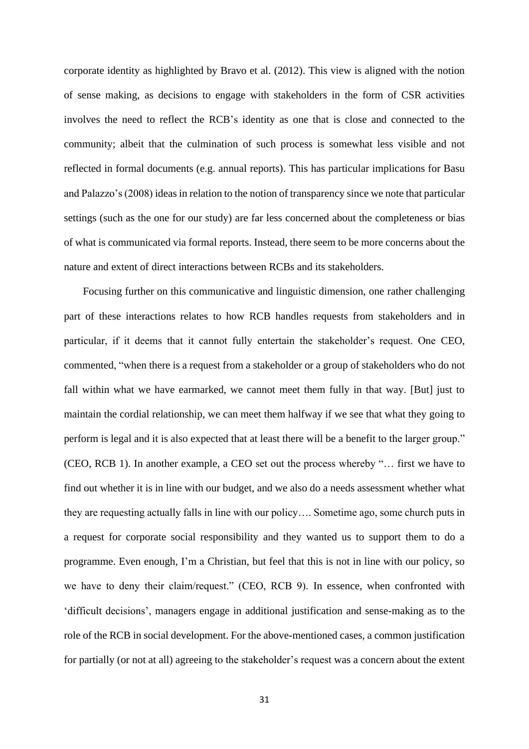corporate identity as highlighted by Bravo et al. (2012). This view is aligned with the notion of sense making, as decisions to engage with stakeholders in the form of CSR activities involves the need to reflect the RCB's identity as one that is close and connected to the community; albeit that the culmination of such process is somewhat less visible and not reflected in formal documents (e.g. annual reports). This has particular implications for Basu and Palazzo's (2008) ideas in relation to the notion of transparency since we note that particular settings (such as the one for our study) are far less concerned about the completeness or bias of what is communicated via formal reports. Instead, there seem to be more concerns about the nature and extent of direct interactions between RCBs and its stakeholders.

Focusing further on this communicative and linguistic dimension, one rather challenging part of these interactions relates to how RCB handles requests from stakeholders and in particular, if it deems that it cannot fully entertain the stakeholder's request. One CEO, commented, "when there is a request from a stakeholder or a group of stakeholders who do not fall within what we have earmarked, we cannot meet them fully in that way. [But] just to maintain the cordial relationship, we can meet them halfway if we see that what they going to perform is legal and it is also expected that at least there will be a benefit to the larger group." (CEO, RCB 1). In another example, a CEO set out the process whereby "… first we have to find out whether it is in line with our budget, and we also do a needs assessment whether what they are requesting actually falls in line with our policy…. Sometime ago, some church puts in a request for corporate social responsibility and they wanted us to support them to do a programme. Even enough, I'm a Christian, but feel that this is not in line with our policy, so we have to deny their claim/request." (CEO, RCB 9). In essence, when confronted with 'difficult decisions', managers engage in additional justification and sense-making as to the role of the RCB in social development. For the above-mentioned cases, a common justification for partially (or not at all) agreeing to the stakeholder's request was a concern about the extent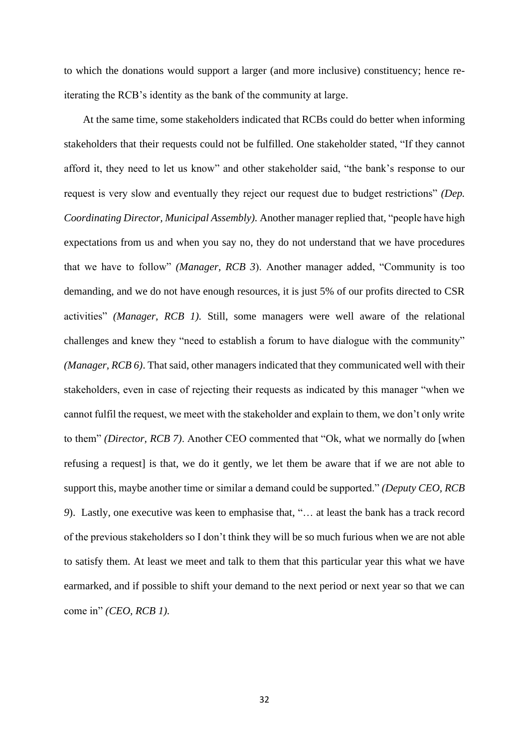to which the donations would support a larger (and more inclusive) constituency; hence reiterating the RCB's identity as the bank of the community at large.

At the same time, some stakeholders indicated that RCBs could do better when informing stakeholders that their requests could not be fulfilled. One stakeholder stated, "If they cannot afford it, they need to let us know" and other stakeholder said, "the bank's response to our request is very slow and eventually they reject our request due to budget restrictions" *(Dep. Coordinating Director, Municipal Assembly).* Another manager replied that, "people have high expectations from us and when you say no, they do not understand that we have procedures that we have to follow" *(Manager, RCB 3*). Another manager added, "Community is too demanding, and we do not have enough resources, it is just 5% of our profits directed to CSR activities" *(Manager, RCB 1).* Still, some managers were well aware of the relational challenges and knew they "need to establish a forum to have dialogue with the community" *(Manager, RCB 6)*. That said, other managers indicated that they communicated well with their stakeholders, even in case of rejecting their requests as indicated by this manager "when we cannot fulfil the request, we meet with the stakeholder and explain to them, we don't only write to them" *(Director, RCB 7)*. Another CEO commented that "Ok, what we normally do [when refusing a request] is that, we do it gently, we let them be aware that if we are not able to support this, maybe another time or similar a demand could be supported." *(Deputy CEO, RCB 9*). Lastly, one executive was keen to emphasise that, "… at least the bank has a track record of the previous stakeholders so I don't think they will be so much furious when we are not able to satisfy them. At least we meet and talk to them that this particular year this what we have earmarked, and if possible to shift your demand to the next period or next year so that we can come in" *(CEO, RCB 1).*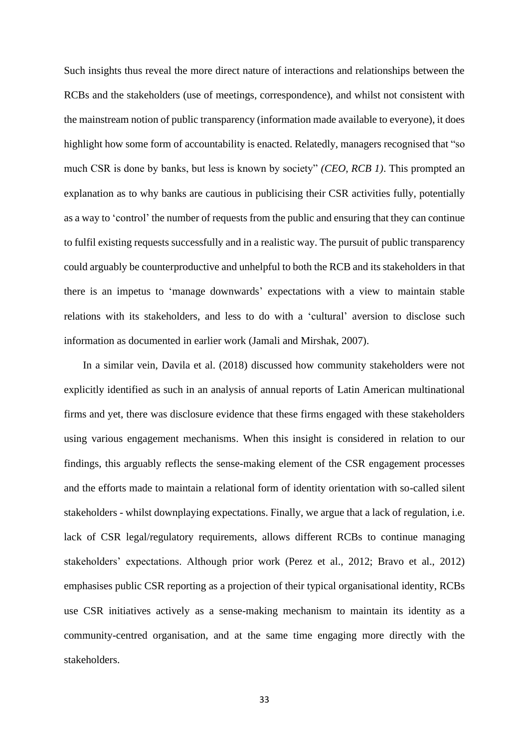Such insights thus reveal the more direct nature of interactions and relationships between the RCBs and the stakeholders (use of meetings, correspondence), and whilst not consistent with the mainstream notion of public transparency (information made available to everyone), it does highlight how some form of accountability is enacted. Relatedly, managers recognised that "so much CSR is done by banks, but less is known by society" *(CEO, RCB 1)*. This prompted an explanation as to why banks are cautious in publicising their CSR activities fully, potentially as a way to 'control' the number of requests from the public and ensuring that they can continue to fulfil existing requests successfully and in a realistic way. The pursuit of public transparency could arguably be counterproductive and unhelpful to both the RCB and its stakeholders in that there is an impetus to 'manage downwards' expectations with a view to maintain stable relations with its stakeholders, and less to do with a 'cultural' aversion to disclose such information as documented in earlier work (Jamali and Mirshak, 2007).

In a similar vein, Davila et al. (2018) discussed how community stakeholders were not explicitly identified as such in an analysis of annual reports of Latin American multinational firms and yet, there was disclosure evidence that these firms engaged with these stakeholders using various engagement mechanisms. When this insight is considered in relation to our findings, this arguably reflects the sense-making element of the CSR engagement processes and the efforts made to maintain a relational form of identity orientation with so-called silent stakeholders - whilst downplaying expectations. Finally, we argue that a lack of regulation, i.e. lack of CSR legal/regulatory requirements, allows different RCBs to continue managing stakeholders' expectations. Although prior work (Perez et al., 2012; Bravo et al., 2012) emphasises public CSR reporting as a projection of their typical organisational identity, RCBs use CSR initiatives actively as a sense-making mechanism to maintain its identity as a community-centred organisation, and at the same time engaging more directly with the stakeholders.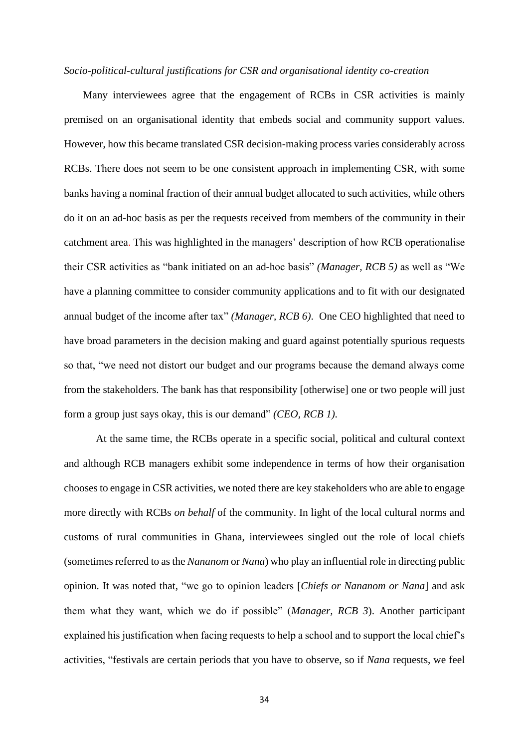#### *Socio-political-cultural justifications for CSR and organisational identity co-creation*

Many interviewees agree that the engagement of RCBs in CSR activities is mainly premised on an organisational identity that embeds social and community support values. However, how this became translated CSR decision-making process varies considerably across RCBs. There does not seem to be one consistent approach in implementing CSR, with some banks having a nominal fraction of their annual budget allocated to such activities, while others do it on an ad-hoc basis as per the requests received from members of the community in their catchment area. This was highlighted in the managers' description of how RCB operationalise their CSR activities as "bank initiated on an ad-hoc basis" *(Manager, RCB 5)* as well as "We have a planning committee to consider community applications and to fit with our designated annual budget of the income after tax" *(Manager, RCB 6)*. One CEO highlighted that need to have broad parameters in the decision making and guard against potentially spurious requests so that, "we need not distort our budget and our programs because the demand always come from the stakeholders. The bank has that responsibility [otherwise] one or two people will just form a group just says okay, this is our demand" *(CEO, RCB 1).*

At the same time, the RCBs operate in a specific social, political and cultural context and although RCB managers exhibit some independence in terms of how their organisation chooses to engage in CSR activities, we noted there are key stakeholders who are able to engage more directly with RCBs *on behalf* of the community. In light of the local cultural norms and customs of rural communities in Ghana, interviewees singled out the role of local chiefs (sometimes referred to as the *Nananom* or *Nana*) who play an influential role in directing public opinion. It was noted that, "we go to opinion leaders [*Chiefs or Nananom or Nana*] and ask them what they want, which we do if possible" (*Manager, RCB 3*). Another participant explained his justification when facing requests to help a school and to support the local chief's activities, "festivals are certain periods that you have to observe, so if *Nana* requests, we feel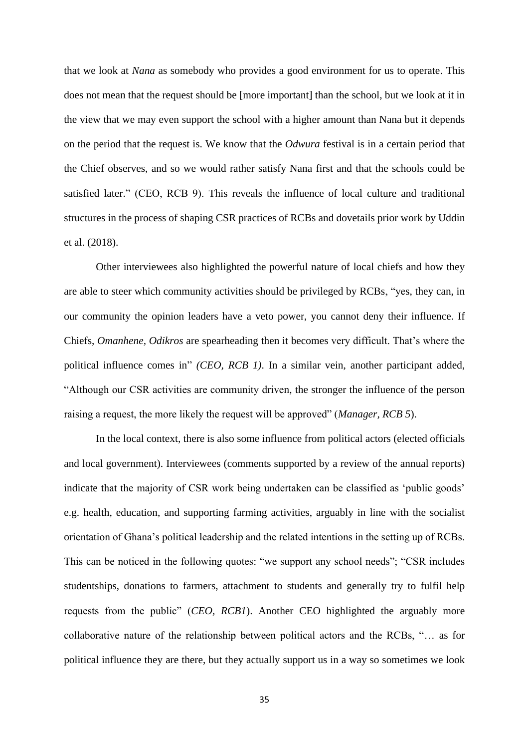that we look at *Nana* as somebody who provides a good environment for us to operate. This does not mean that the request should be [more important] than the school, but we look at it in the view that we may even support the school with a higher amount than Nana but it depends on the period that the request is. We know that the *Odwura* festival is in a certain period that the Chief observes, and so we would rather satisfy Nana first and that the schools could be satisfied later." (CEO, RCB 9). This reveals the influence of local culture and traditional structures in the process of shaping CSR practices of RCBs and dovetails prior work by Uddin et al. (2018).

Other interviewees also highlighted the powerful nature of local chiefs and how they are able to steer which community activities should be privileged by RCBs, "yes, they can, in our community the opinion leaders have a veto power, you cannot deny their influence. If Chiefs, *Omanhene, Odikros* are spearheading then it becomes very difficult. That's where the political influence comes in" *(CEO, RCB 1)*. In a similar vein, another participant added, "Although our CSR activities are community driven, the stronger the influence of the person raising a request, the more likely the request will be approved" (*Manager, RCB 5*).

In the local context, there is also some influence from political actors (elected officials and local government). Interviewees (comments supported by a review of the annual reports) indicate that the majority of CSR work being undertaken can be classified as 'public goods' e.g. health, education, and supporting farming activities, arguably in line with the socialist orientation of Ghana's political leadership and the related intentions in the setting up of RCBs. This can be noticed in the following quotes: "we support any school needs"; "CSR includes studentships, donations to farmers, attachment to students and generally try to fulfil help requests from the public" (*CEO, RCB1*). Another CEO highlighted the arguably more collaborative nature of the relationship between political actors and the RCBs, "… as for political influence they are there, but they actually support us in a way so sometimes we look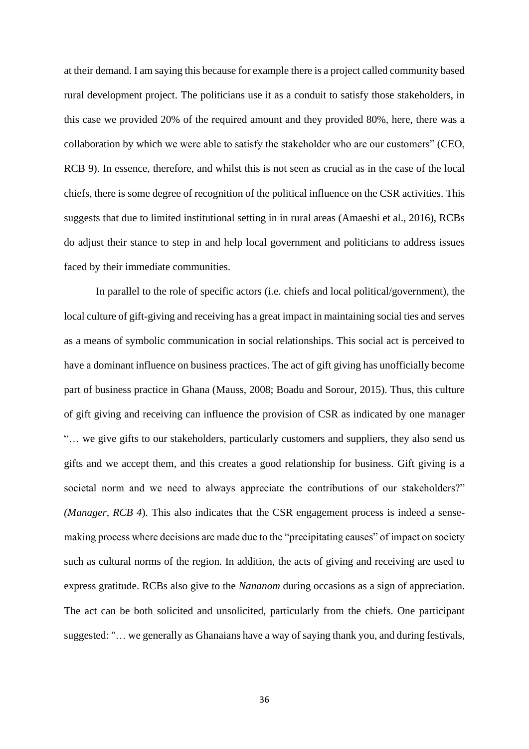at their demand. I am saying this because for example there is a project called community based rural development project. The politicians use it as a conduit to satisfy those stakeholders, in this case we provided 20% of the required amount and they provided 80%, here, there was a collaboration by which we were able to satisfy the stakeholder who are our customers" (CEO, RCB 9). In essence, therefore, and whilst this is not seen as crucial as in the case of the local chiefs, there is some degree of recognition of the political influence on the CSR activities. This suggests that due to limited institutional setting in in rural areas (Amaeshi et al., 2016), RCBs do adjust their stance to step in and help local government and politicians to address issues faced by their immediate communities.

In parallel to the role of specific actors (i.e. chiefs and local political/government), the local culture of gift-giving and receiving has a great impact in maintaining social ties and serves as a means of symbolic communication in social relationships. This social act is perceived to have a dominant influence on business practices. The act of gift giving has unofficially become part of business practice in Ghana (Mauss, 2008; Boadu and Sorour, 2015). Thus, this culture of gift giving and receiving can influence the provision of CSR as indicated by one manager "… we give gifts to our stakeholders, particularly customers and suppliers, they also send us gifts and we accept them, and this creates a good relationship for business. Gift giving is a societal norm and we need to always appreciate the contributions of our stakeholders?" *(Manager, RCB 4*). This also indicates that the CSR engagement process is indeed a sensemaking process where decisions are made due to the "precipitating causes" of impact on society such as cultural norms of the region. In addition, the acts of giving and receiving are used to express gratitude. RCBs also give to the *Nananom* during occasions as a sign of appreciation. The act can be both solicited and unsolicited, particularly from the chiefs. One participant suggested: "… we generally as Ghanaians have a way of saying thank you, and during festivals,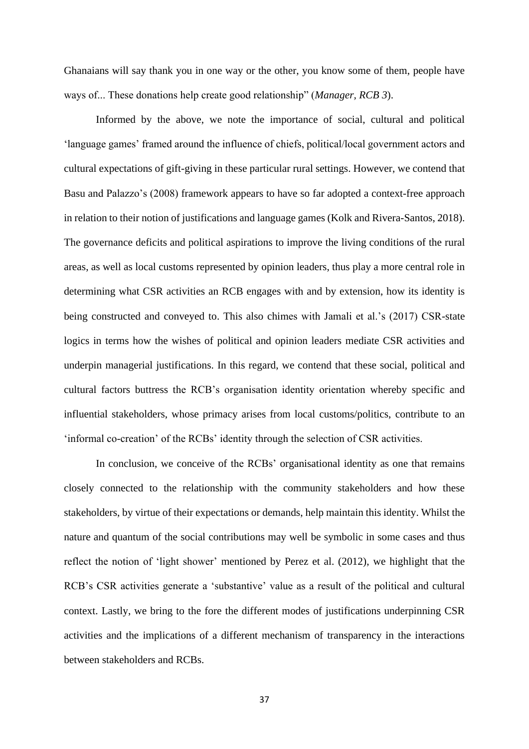Ghanaians will say thank you in one way or the other, you know some of them, people have ways of... These donations help create good relationship" (*Manager, RCB 3*).

Informed by the above, we note the importance of social, cultural and political 'language games' framed around the influence of chiefs, political/local government actors and cultural expectations of gift-giving in these particular rural settings. However, we contend that Basu and Palazzo's (2008) framework appears to have so far adopted a context-free approach in relation to their notion of justifications and language games (Kolk and Rivera-Santos, 2018). The governance deficits and political aspirations to improve the living conditions of the rural areas, as well as local customs represented by opinion leaders, thus play a more central role in determining what CSR activities an RCB engages with and by extension, how its identity is being constructed and conveyed to. This also chimes with Jamali et al.'s (2017) CSR-state logics in terms how the wishes of political and opinion leaders mediate CSR activities and underpin managerial justifications. In this regard, we contend that these social, political and cultural factors buttress the RCB's organisation identity orientation whereby specific and influential stakeholders, whose primacy arises from local customs/politics, contribute to an 'informal co-creation' of the RCBs' identity through the selection of CSR activities.

In conclusion, we conceive of the RCBs' organisational identity as one that remains closely connected to the relationship with the community stakeholders and how these stakeholders, by virtue of their expectations or demands, help maintain this identity. Whilst the nature and quantum of the social contributions may well be symbolic in some cases and thus reflect the notion of 'light shower' mentioned by Perez et al. (2012), we highlight that the RCB's CSR activities generate a 'substantive' value as a result of the political and cultural context. Lastly, we bring to the fore the different modes of justifications underpinning CSR activities and the implications of a different mechanism of transparency in the interactions between stakeholders and RCBs.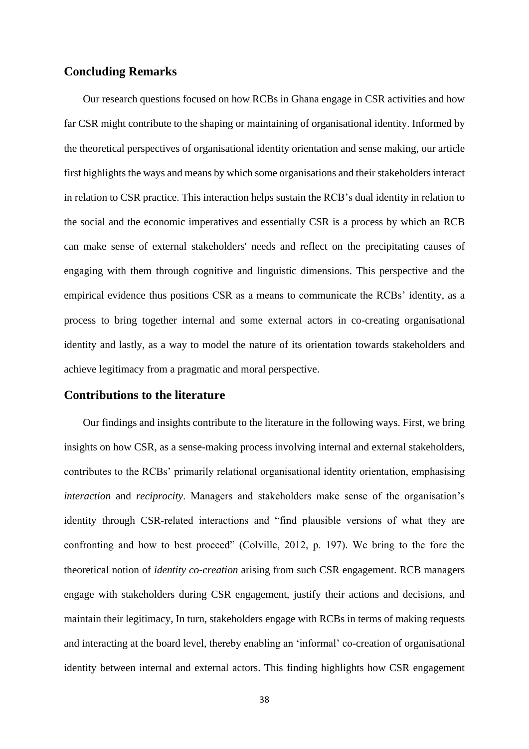# **Concluding Remarks**

Our research questions focused on how RCBs in Ghana engage in CSR activities and how far CSR might contribute to the shaping or maintaining of organisational identity. Informed by the theoretical perspectives of organisational identity orientation and sense making, our article first highlights the ways and means by which some organisations and their stakeholders interact in relation to CSR practice. This interaction helps sustain the RCB's dual identity in relation to the social and the economic imperatives and essentially CSR is a process by which an RCB can make sense of external stakeholders' needs and reflect on the precipitating causes of engaging with them through cognitive and linguistic dimensions. This perspective and the empirical evidence thus positions CSR as a means to communicate the RCBs' identity, as a process to bring together internal and some external actors in co-creating organisational identity and lastly, as a way to model the nature of its orientation towards stakeholders and achieve legitimacy from a pragmatic and moral perspective.

# **Contributions to the literature**

Our findings and insights contribute to the literature in the following ways. First, we bring insights on how CSR, as a sense-making process involving internal and external stakeholders, contributes to the RCBs' primarily relational organisational identity orientation, emphasising *interaction* and *reciprocity*. Managers and stakeholders make sense of the organisation's identity through CSR-related interactions and "find plausible versions of what they are confronting and how to best proceed" (Colville, 2012, p. 197). We bring to the fore the theoretical notion of *identity co-creation* arising from such CSR engagement. RCB managers engage with stakeholders during CSR engagement, justify their actions and decisions, and maintain their legitimacy, In turn, stakeholders engage with RCBs in terms of making requests and interacting at the board level, thereby enabling an 'informal' co-creation of organisational identity between internal and external actors. This finding highlights how CSR engagement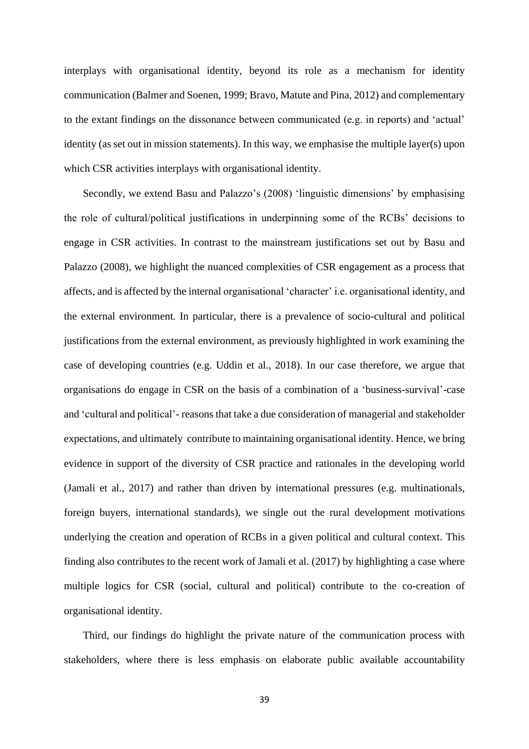interplays with organisational identity, beyond its role as a mechanism for identity communication (Balmer and Soenen, 1999; Bravo, Matute and Pina, 2012) and complementary to the extant findings on the dissonance between communicated (e.g. in reports) and 'actual' identity (as set out in mission statements). In this way, we emphasise the multiple layer(s) upon which CSR activities interplays with organisational identity.

Secondly, we extend Basu and Palazzo's (2008) 'linguistic dimensions' by emphasising the role of cultural/political justifications in underpinning some of the RCBs' decisions to engage in CSR activities. In contrast to the mainstream justifications set out by Basu and Palazzo (2008), we highlight the nuanced complexities of CSR engagement as a process that affects, and is affected by the internal organisational 'character' i.e. organisational identity, and the external environment. In particular, there is a prevalence of socio-cultural and political justifications from the external environment, as previously highlighted in work examining the case of developing countries (e.g. Uddin et al., 2018). In our case therefore, we argue that organisations do engage in CSR on the basis of a combination of a 'business-survival'-case and 'cultural and political'- reasons that take a due consideration of managerial and stakeholder expectations, and ultimately contribute to maintaining organisational identity. Hence, we bring evidence in support of the diversity of CSR practice and rationales in the developing world (Jamali et al., 2017) and rather than driven by international pressures (e.g. multinationals, foreign buyers, international standards), we single out the rural development motivations underlying the creation and operation of RCBs in a given political and cultural context. This finding also contributes to the recent work of Jamali et al. (2017) by highlighting a case where multiple logics for CSR (social, cultural and political) contribute to the co-creation of organisational identity.

Third, our findings do highlight the private nature of the communication process with stakeholders, where there is less emphasis on elaborate public available accountability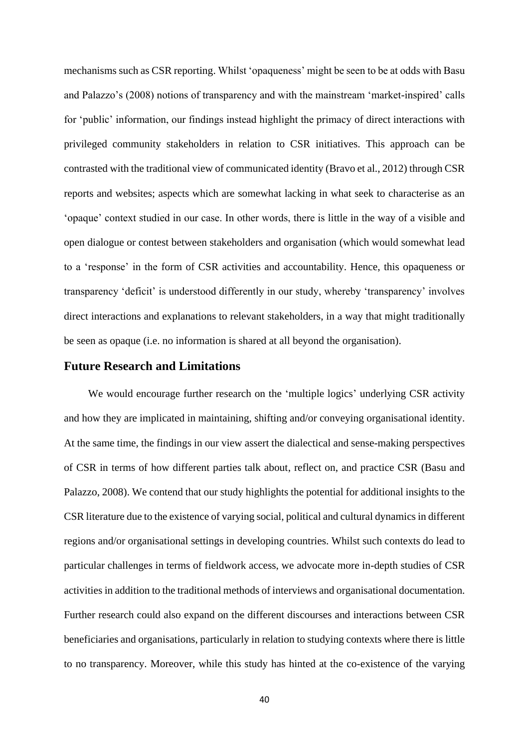mechanisms such as CSR reporting. Whilst 'opaqueness' might be seen to be at odds with Basu and Palazzo's (2008) notions of transparency and with the mainstream 'market-inspired' calls for 'public' information, our findings instead highlight the primacy of direct interactions with privileged community stakeholders in relation to CSR initiatives. This approach can be contrasted with the traditional view of communicated identity (Bravo et al., 2012) through CSR reports and websites; aspects which are somewhat lacking in what seek to characterise as an 'opaque' context studied in our case. In other words, there is little in the way of a visible and open dialogue or contest between stakeholders and organisation (which would somewhat lead to a 'response' in the form of CSR activities and accountability. Hence, this opaqueness or transparency 'deficit' is understood differently in our study, whereby 'transparency' involves direct interactions and explanations to relevant stakeholders, in a way that might traditionally be seen as opaque (i.e. no information is shared at all beyond the organisation).

# **Future Research and Limitations**

 We would encourage further research on the 'multiple logics' underlying CSR activity and how they are implicated in maintaining, shifting and/or conveying organisational identity. At the same time, the findings in our view assert the dialectical and sense-making perspectives of CSR in terms of how different parties talk about, reflect on, and practice CSR (Basu and Palazzo, 2008). We contend that our study highlights the potential for additional insights to the CSR literature due to the existence of varying social, political and cultural dynamics in different regions and/or organisational settings in developing countries. Whilst such contexts do lead to particular challenges in terms of fieldwork access, we advocate more in-depth studies of CSR activities in addition to the traditional methods of interviews and organisational documentation. Further research could also expand on the different discourses and interactions between CSR beneficiaries and organisations, particularly in relation to studying contexts where there is little to no transparency. Moreover, while this study has hinted at the co-existence of the varying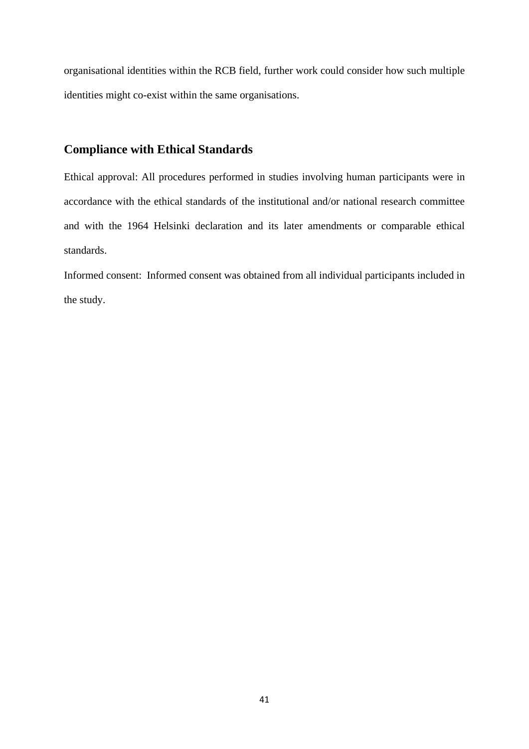organisational identities within the RCB field, further work could consider how such multiple identities might co-exist within the same organisations.

# **Compliance with Ethical Standards**

Ethical approval: All procedures performed in studies involving human participants were in accordance with the ethical standards of the institutional and/or national research committee and with the 1964 Helsinki declaration and its later amendments or comparable ethical standards.

Informed consent: Informed consent was obtained from all individual participants included in the study.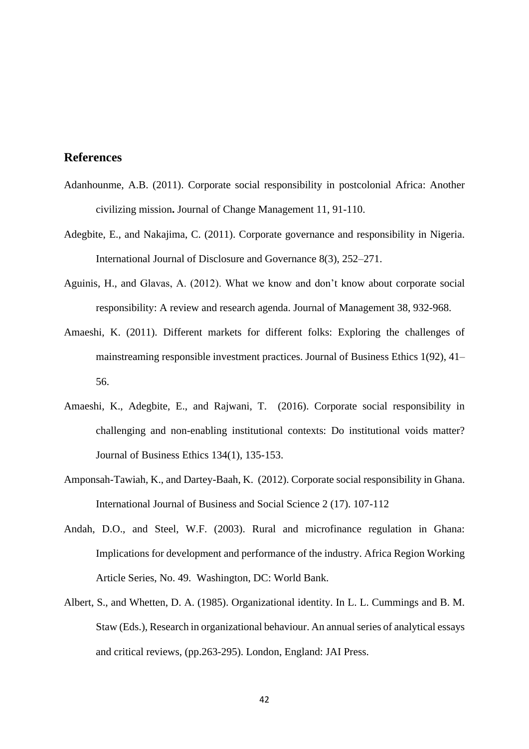# **References**

- Adanhounme, A.B. (2011). Corporate social responsibility in postcolonial Africa: Another civilizing mission**.** Journal of Change Management 11, 91-110.
- Adegbite, E., and Nakajima, C. (2011). Corporate governance and responsibility in Nigeria. International Journal of Disclosure and Governance 8(3), 252–271.
- Aguinis, H., and Glavas, A. (2012). What we know and don't know about corporate social responsibility: A review and research agenda. Journal of Management 38, 932-968.
- Amaeshi, K. (2011). Different markets for different folks: Exploring the challenges of mainstreaming responsible investment practices. Journal of Business Ethics 1(92), 41– 56.
- Amaeshi, K., Adegbite, E., and Rajwani, T. (2016). Corporate social responsibility in challenging and non-enabling institutional contexts: Do institutional voids matter? Journal of Business Ethics 134(1), 135-153.
- Amponsah-Tawiah, K., and Dartey-Baah, K. (2012). Corporate social responsibility in Ghana. International Journal of Business and Social Science 2 (17). 107-112
- Andah, D.O., and Steel, W.F. (2003). Rural and microfinance regulation in Ghana: Implications for development and performance of the industry. Africa Region Working Article Series, No. 49. Washington, DC: World Bank.
- Albert, S., and Whetten, D. A. (1985). Organizational identity. In L. L. Cummings and B. M. Staw (Eds.), Research in organizational behaviour. An annual series of analytical essays and critical reviews, (pp.263-295). London, England: JAI Press.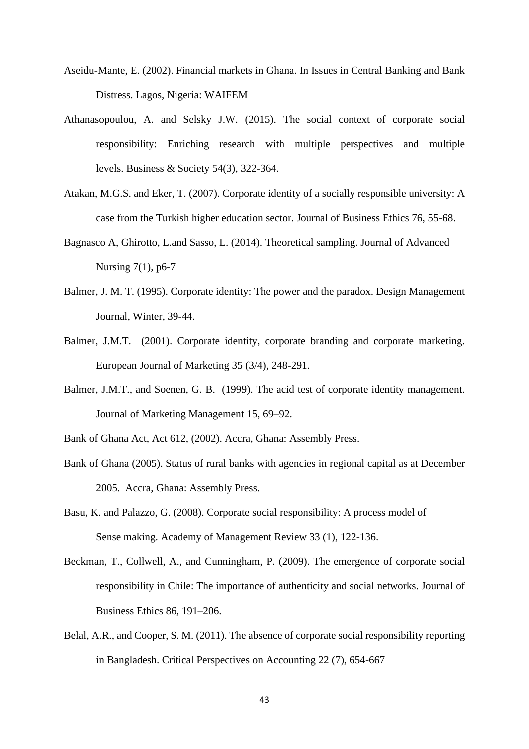- Aseidu-Mante, E. (2002). Financial markets in Ghana. In Issues in Central Banking and Bank Distress. Lagos, Nigeria: WAIFEM
- Athanasopoulou, A. and Selsky J.W. (2015). The social context of corporate social responsibility: Enriching research with multiple perspectives and multiple levels. Business & Society 54(3), 322-364.
- Atakan, M.G.S. and Eker, T. (2007). Corporate identity of a socially responsible university: A case from the Turkish higher education sector. Journal of Business Ethics 76, 55-68.
- Bagnasco A, Ghirotto, L.and Sasso, L. (2014). Theoretical sampling. Journal of Advanced Nursing 7(1), p6-7
- Balmer, J. M. T. (1995). Corporate identity: The power and the paradox. Design Management Journal, Winter, 39-44.
- Balmer, J.M.T. (2001). Corporate identity, corporate branding and corporate marketing. European Journal of Marketing 35 (3/4), 248-291.
- Balmer, J.M.T., and Soenen, G. B. (1999). The acid test of corporate identity management. Journal of Marketing Management 15, 69–92.
- Bank of Ghana Act, Act 612, (2002). Accra, Ghana: Assembly Press.
- Bank of Ghana (2005). Status of rural banks with agencies in regional capital as at December 2005. Accra, Ghana: Assembly Press.
- Basu, K. and Palazzo, G. (2008). Corporate social responsibility: A process model of Sense making. Academy of Management Review 33 (1), 122-136.
- Beckman, T., Collwell, A., and Cunningham, P. (2009). The emergence of corporate social responsibility in Chile: The importance of authenticity and social networks. Journal of Business Ethics 86, 191–206.
- Belal, A.R., and Cooper, S. M. (2011). The absence of corporate social responsibility reporting in Bangladesh. Critical Perspectives on Accounting 22 (7), 654-667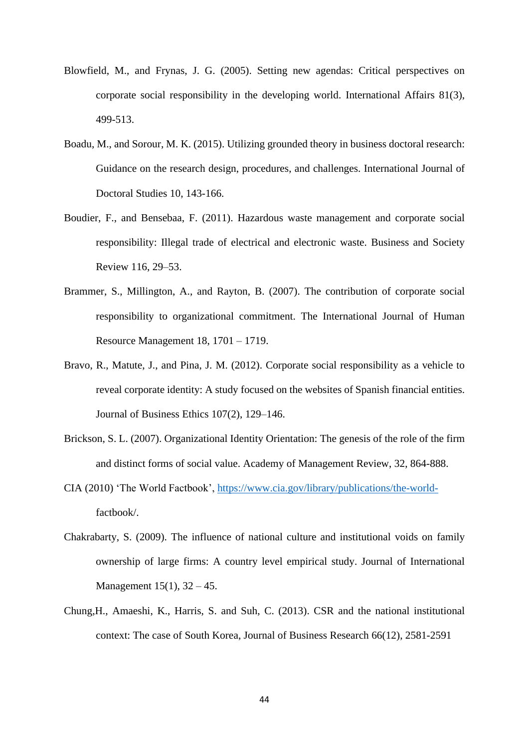- Blowfield, M., and Frynas, J. G. (2005). Setting new agendas: Critical perspectives on corporate social responsibility in the developing world. International Affairs 81(3), 499-513.
- Boadu, M., and Sorour, M. K. (2015). Utilizing grounded theory in business doctoral research: Guidance on the research design, procedures, and challenges. International Journal of Doctoral Studies 10, 143-166.
- Boudier, F., and Bensebaa, F. (2011). Hazardous waste management and corporate social responsibility: Illegal trade of electrical and electronic waste. Business and Society Review 116, 29–53.
- Brammer, S., Millington, A., and Rayton, B. (2007). The contribution of corporate social responsibility to organizational commitment. The International Journal of Human Resource Management 18, 1701 – 1719.
- Bravo, R., Matute, J., and Pina, J. M. (2012). Corporate social responsibility as a vehicle to reveal corporate identity: A study focused on the websites of Spanish financial entities. Journal of Business Ethics 107(2), 129–146.
- Brickson, S. L. (2007). Organizational Identity Orientation: The genesis of the role of the firm and distinct forms of social value. Academy of Management Review, 32, 864-888.
- CIA (2010) 'The World Factbook', [https://www.cia.gov/library/publications/the-world](https://www.cia.gov/library/publications/the-world-)factbook/.
- Chakrabarty, S. (2009). The influence of national culture and institutional voids on family ownership of large firms: A country level empirical study. Journal of International Management 15(1), 32 – 45.
- Chung,H., Amaeshi, K., Harris, S. and Suh, C. (2013). CSR and the national institutional context: The case of South Korea, Journal of Business Research 66(12), 2581-2591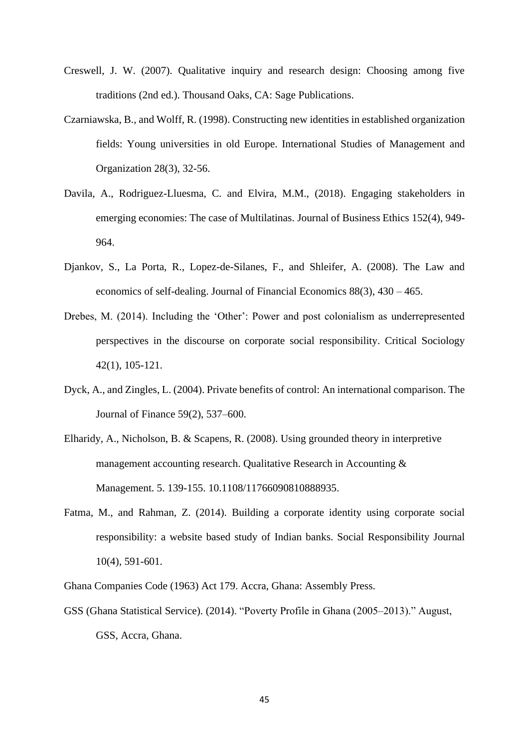- Creswell, J. W. (2007). Qualitative inquiry and research design: Choosing among five traditions (2nd ed.). Thousand Oaks, CA: Sage Publications.
- Czarniawska, B., and Wolff, R. (1998). Constructing new identities in established organization fields: Young universities in old Europe. International Studies of Management and Organization 28(3), 32-56.
- Davila, A., Rodriguez-Lluesma, C. and Elvira, M.M., (2018). Engaging stakeholders in emerging economies: The case of Multilatinas. Journal of Business Ethics 152(4), 949- 964.
- Djankov, S., La Porta, R., Lopez-de-Silanes, F., and Shleifer, A. (2008). The Law and economics of self-dealing. Journal of Financial Economics 88(3), 430 – 465.
- Drebes, M. (2014). Including the 'Other': Power and post colonialism as underrepresented perspectives in the discourse on corporate social responsibility. Critical Sociology 42(1), 105-121.
- Dyck, A., and Zingles, L. (2004). Private benefits of control: An international comparison. The Journal of Finance 59(2), 537–600.
- Elharidy, A., Nicholson, B. & Scapens, R. (2008). Using grounded theory in interpretive management accounting research. Qualitative Research in Accounting & Management. 5. 139-155. 10.1108/11766090810888935.
- Fatma, M., and Rahman, Z. (2014). Building a corporate identity using corporate social responsibility: a website based study of Indian banks. Social Responsibility Journal 10(4), 591-601.
- Ghana Companies Code (1963) Act 179. Accra, Ghana: Assembly Press.
- GSS (Ghana Statistical Service). (2014). "Poverty Profile in Ghana (2005–2013)." August, GSS, Accra, Ghana.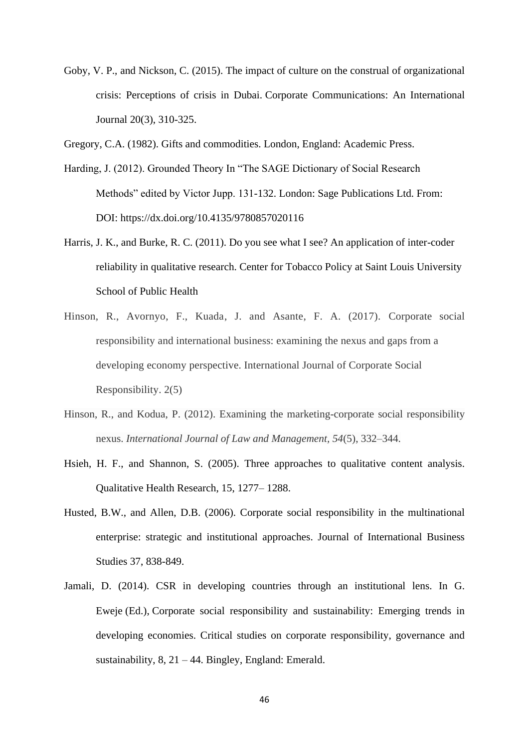- Goby, V. P., and Nickson, C. (2015). The impact of culture on the construal of organizational crisis: Perceptions of crisis in Dubai. Corporate Communications: An International Journal 20(3), 310-325.
- Gregory, C.A. (1982). Gifts and commodities. London, England: Academic Press.
- Harding, J. (2012). Grounded Theory In "The SAGE Dictionary of Social Research Methods" edited by Victor Jupp. 131-132. London: Sage Publications Ltd. From: DOI: https://dx.doi.org/10.4135/9780857020116
- Harris, J. K., and Burke, R. C. (2011). Do you see what I see? An application of inter-coder reliability in qualitative research. Center for Tobacco Policy at Saint Louis University School of Public Health
- Hinson, R., Avornyo, F., Kuada, J. and Asante, F. A. (2017). Corporate social responsibility and international business: examining the nexus and gaps from a developing economy perspective. International Journal of Corporate Social Responsibility. 2(5)
- Hinson, R., and Kodua, P. (2012). Examining the marketing-corporate social responsibility nexus. *International Journal of Law and Management, 54*(5), 332–344.
- Hsieh, H. F., and Shannon, S. (2005). Three approaches to qualitative content analysis. Qualitative Health Research, 15, 1277– 1288.
- Husted, B.W., and Allen, D.B. (2006). Corporate social responsibility in the multinational enterprise: strategic and institutional approaches. Journal of International Business Studies 37, 838-849.
- Jamali, D. (2014). CSR in developing countries through an institutional lens. In G. Eweje (Ed.), Corporate social responsibility and sustainability: Emerging trends in developing economies. Critical studies on corporate responsibility, governance and sustainability, 8, 21 – 44. Bingley, England: Emerald.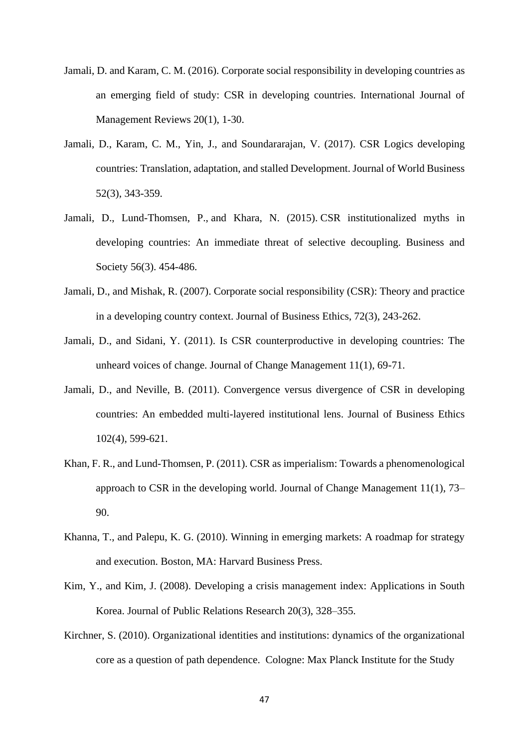- Jamali, D. and Karam, C. M. (2016). Corporate social responsibility in developing countries as an emerging field of study: CSR in developing countries. International Journal of Management Reviews 20(1), 1-30.
- Jamali, D., Karam, C. M., Yin, J., and Soundararajan, V. (2017). CSR Logics developing countries: Translation, adaptation, and stalled Development. Journal of World Business 52(3), 343-359.
- Jamali, D., Lund-Thomsen, P., and Khara, N. (2015). CSR institutionalized myths in developing countries: An immediate threat of selective decoupling. Business and Society 56(3). 454-486.
- Jamali, D., and Mishak, R. (2007). Corporate social responsibility (CSR): Theory and practice in a developing country context. Journal of Business Ethics, 72(3), 243-262.
- Jamali, D., and Sidani, Y. (2011). Is CSR counterproductive in developing countries: The unheard voices of change. Journal of Change Management 11(1), 69-71.
- Jamali, D., and Neville, B. (2011). Convergence versus divergence of CSR in developing countries: An embedded multi-layered institutional lens. Journal of Business Ethics 102(4), 599-621.
- Khan, F. R., and Lund-Thomsen, P. (2011). CSR as imperialism: Towards a phenomenological approach to CSR in the developing world. Journal of Change Management 11(1), 73– 90.
- Khanna, T., and Palepu, K. G. (2010). Winning in emerging markets: A roadmap for strategy and execution. Boston, MA: Harvard Business Press.
- Kim, Y., and Kim, J. (2008). Developing a crisis management index: Applications in South Korea. Journal of Public Relations Research 20(3), 328–355.
- Kirchner, S. (2010). Organizational identities and institutions: dynamics of the organizational core as a question of path dependence. Cologne: Max Planck Institute for the Study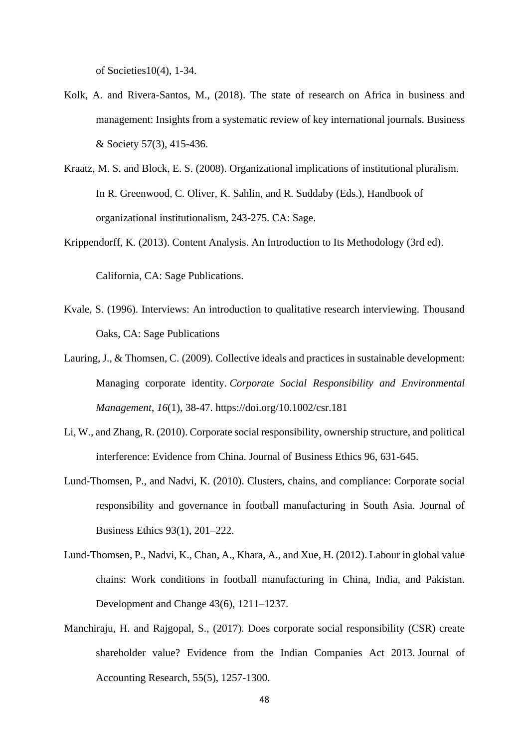of Societies10(4), 1-34.

- Kolk, A. and Rivera-Santos, M., (2018). The state of research on Africa in business and management: Insights from a systematic review of key international journals. Business & Society 57(3), 415-436.
- Kraatz, M. S. and Block, E. S. (2008). Organizational implications of institutional pluralism. In R. Greenwood, C. Oliver, K. Sahlin, and R. Suddaby (Eds.), Handbook of organizational institutionalism, 243-275. CA: Sage.
- Krippendorff, K. (2013). Content Analysis. An Introduction to Its Methodology (3rd ed).

California, CA: Sage Publications.

- Kvale, S. (1996). Interviews: An introduction to qualitative research interviewing. Thousand Oaks, CA: Sage Publications
- [Lauring, J.](https://pure.au.dk/portal/en/persons/jakob-lauring(1b7cb31f-a211-4afd-bef6-f33b044bd8cb).html)[, & Thomsen, C.](https://pure.au.dk/portal/en/persons/christa-thomsen(0652f2ff-d123-410d-9500-30479b830fe9).html) (2009). [Collective ideals and practices in sustainable development:](https://pure.au.dk/portal/en/publications/collective-ideals-and-practices-in-sustainable-development(14402fd0-2bec-11dd-8851-000ea68e967b).html)  [Managing corporate identity.](https://pure.au.dk/portal/en/publications/collective-ideals-and-practices-in-sustainable-development(14402fd0-2bec-11dd-8851-000ea68e967b).html) *Corporate Social Responsibility and Environmental Management*, *16*(1), 38-47. <https://doi.org/10.1002/csr.181>
- Li, W., and Zhang, R. (2010). Corporate social responsibility, ownership structure, and political interference: Evidence from China. Journal of Business Ethics 96, 631-645.
- Lund-Thomsen, P., and Nadvi, K. (2010). Clusters, chains, and compliance: Corporate social responsibility and governance in football manufacturing in South Asia. Journal of Business Ethics 93(1), 201–222.
- Lund-Thomsen, P., Nadvi, K., Chan, A., Khara, A., and Xue, H. (2012). Labour in global value chains: Work conditions in football manufacturing in China, India, and Pakistan. Development and Change 43(6), 1211–1237.
- Manchiraju, H. and Rajgopal, S., (2017). Does corporate social responsibility (CSR) create shareholder value? Evidence from the Indian Companies Act 2013. Journal of Accounting Research, 55(5), 1257-1300.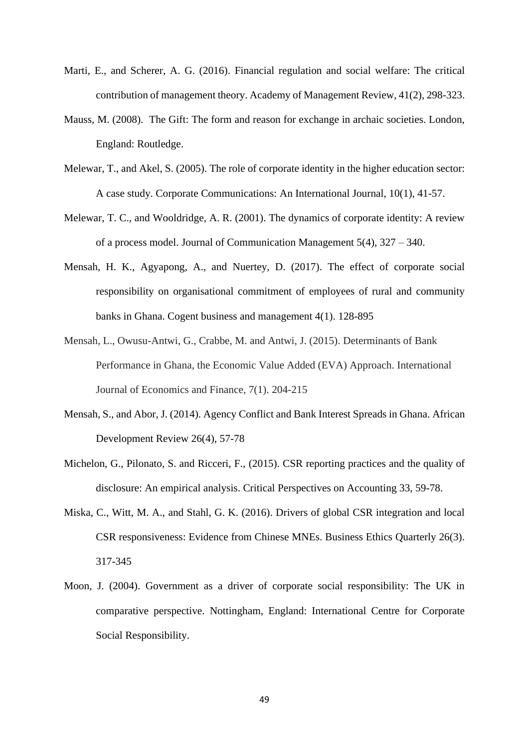- Marti, E., and Scherer, A. G. (2016). Financial regulation and social welfare: The critical contribution of management theory. Academy of Management Review, 41(2), 298-323.
- Mauss, M. (2008). The Gift: The form and reason for exchange in archaic societies. London, England: Routledge.
- Melewar, T., and Akel, S. (2005). The role of corporate identity in the higher education sector: A case study. Corporate Communications: An International Journal, 10(1), 41-57.
- Melewar, T. C., and Wooldridge, A. R. (2001). The dynamics of corporate identity: A review of a process model. Journal of Communication Management 5(4), 327 – 340.
- Mensah, H. K., Agyapong, A., and Nuertey, D. (2017). The effect of corporate social responsibility on organisational commitment of employees of rural and community banks in Ghana. Cogent business and management 4(1). 128-895
- Mensah, L., Owusu-Antwi, G., Crabbe, M. and Antwi, J. (2015). Determinants of Bank Performance in Ghana, the Economic Value Added (EVA) Approach. International Journal of Economics and Finance, 7(1). 204-215
- Mensah, S., and Abor, J. (2014). Agency Conflict and Bank Interest Spreads in Ghana. African Development Review 26(4), 57-78
- Michelon, G., Pilonato, S. and Ricceri, F., (2015). CSR reporting practices and the quality of disclosure: An empirical analysis. Critical Perspectives on Accounting 33, 59-78.
- Miska, C., Witt, M. A., and Stahl, G. K. (2016). Drivers of global CSR integration and local CSR responsiveness: Evidence from Chinese MNEs. Business Ethics Quarterly 26(3). 317-345
- Moon, J. (2004). Government as a driver of corporate social responsibility: The UK in comparative perspective. Nottingham, England: International Centre for Corporate Social Responsibility.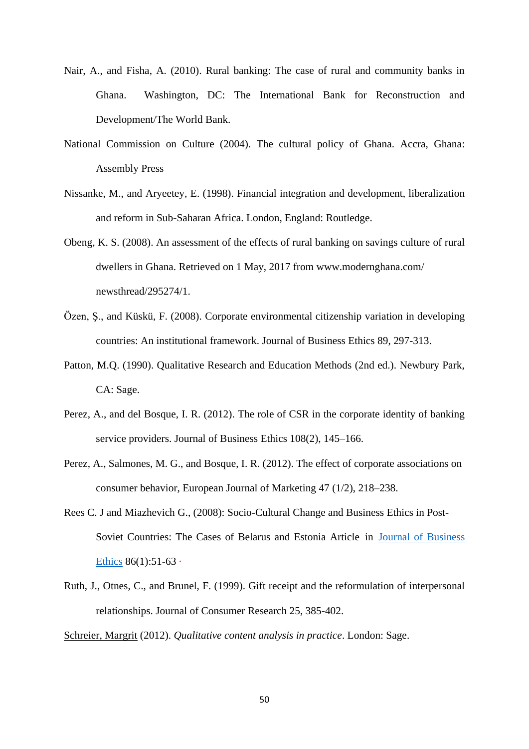- Nair, A., and Fisha, A. (2010). Rural banking: The case of rural and community banks in Ghana. Washington, DC: The International Bank for Reconstruction and Development/The World Bank.
- National Commission on Culture (2004). The cultural policy of Ghana. Accra, Ghana: Assembly Press
- Nissanke, M., and Aryeetey, E. (1998). Financial integration and development, liberalization and reform in Sub-Saharan Africa. London, England: Routledge.
- Obeng, K. S. (2008). An assessment of the effects of rural banking on savings culture of rural dwellers in Ghana. Retrieved on 1 May, 2017 from www.modernghana.com/ newsthread/295274/1.
- Özen, Ş., and Küskü, F. (2008). Corporate environmental citizenship variation in developing countries: An institutional framework. Journal of Business Ethics 89, 297-313.
- Patton, M.Q. (1990). Qualitative Research and Education Methods (2nd ed.). Newbury Park, CA: Sage.
- Perez, A., and del Bosque, I. R. (2012). The role of CSR in the corporate identity of banking service providers. Journal of Business Ethics 108(2), 145–166.
- Perez, A., Salmones, M. G., and Bosque, I. R. (2012). The effect of corporate associations on consumer behavior, European Journal of Marketing 47 (1/2), 218–238.
- Rees C. J and Miazhevich G., (2008): Socio-Cultural Change and Business Ethics in Post-Soviet Countries: The Cases of Belarus and Estonia Article in [Journal of Business](https://www.researchgate.net/journal/0167-4544_Journal_of_Business_Ethics)  [Ethics](https://www.researchgate.net/journal/0167-4544_Journal_of_Business_Ethics) 86(1):51-63 ·
- Ruth, J., Otnes, C., and Brunel, F. (1999). Gift receipt and the reformulation of interpersonal relationships. Journal of Consumer Research 25, 385-402.

[Schreier, Margrit](http://www.qualitative-research.net/index.php/fqs/about/displayMembership/2) (2012). *Qualitative content analysis in practice*. London: Sage.